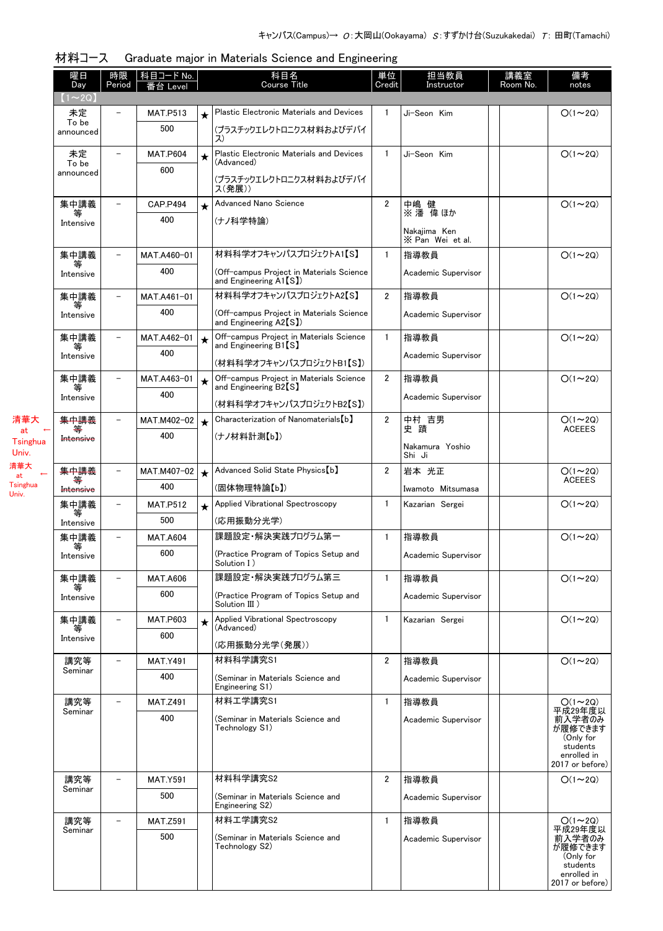| 曜日<br>Day                     | 時限<br>Period             | 科目コード No.          |         | 科目名<br><b>Course Title</b>                                                 | 単位<br>Credit   | 担当教員<br>Instructor                   | 講義室<br>Room No. | 備考<br>notes                                                                  |
|-------------------------------|--------------------------|--------------------|---------|----------------------------------------------------------------------------|----------------|--------------------------------------|-----------------|------------------------------------------------------------------------------|
| $(1\!\thicksim\!2\mathrm{Q})$ |                          | Level              |         |                                                                            |                |                                      |                 |                                                                              |
| 未定                            |                          | <b>MAT.P513</b>    | $\star$ | Plastic Electronic Materials and Devices                                   | $\mathbf{1}$   | Ji-Seon Kim                          |                 | $O(1\sim 2Q)$                                                                |
| To be<br>announced            |                          | 500                |         | (プラスチックエレクトロニクス材料およびデバイ<br>ス)                                              |                |                                      |                 |                                                                              |
| 未定<br>To be                   |                          | <b>MAT.P604</b>    | $\star$ | Plastic Electronic Materials and Devices<br>(Advanced)                     | $\mathbf{1}$   | Ji-Seon Kim                          |                 | $O(1\sim 2Q)$                                                                |
| announced                     |                          | 600                |         | (プラスチックエレクトロニクス材料およびデバイ<br>ス(発展))                                          |                |                                      |                 |                                                                              |
| 集中講義                          | $\overline{\phantom{m}}$ | <b>CAP.P494</b>    | $\star$ | Advanced Nano Science                                                      | $\overline{2}$ | 中嶋 健<br>※ 潘 偉 ほか                     |                 | $O(1\sim 2Q)$                                                                |
| 等<br>Intensive                |                          | 400                |         | (ナノ科学特論)                                                                   |                | Nakajima Ken<br>X Pan Wei et al.     |                 |                                                                              |
| 集中講義                          |                          | MAT.A460-01        |         | 材料科学オフキャンパスプロジェクトA1【S】                                                     | $\mathbf{1}$   | 指導教員                                 |                 | $O(1\sim 2Q)$                                                                |
| Intensive                     |                          | 400                |         | (Off-campus Project in Materials Science<br>and Engineering $\text{A1[S]}$ |                | Academic Supervisor                  |                 |                                                                              |
| 集中講義<br>等                     |                          | MAT.A461-01        |         | 材料科学オフキャンパスプロジェクトA2【S】                                                     | $\overline{2}$ | 指導教員                                 |                 | $O(1\sim 2Q)$                                                                |
| Intensive                     |                          | 400                |         | (Off-campus Project in Materials Science<br>and Engineering A2[S])         |                | Academic Supervisor                  |                 |                                                                              |
| 集中講義<br>等                     |                          | MAT.A462-01        | $\star$ | Off-campus Project in Materials Science<br>and Engineering B1【S】           | $\mathbf{1}$   | 指導教員                                 |                 | $O(1\sim 2Q)$                                                                |
| Intensive                     |                          | 400                |         | (材料科学オフキャンパスプロジェクトB1【S】)                                                   |                | Academic Supervisor                  |                 |                                                                              |
| 集中講義<br>等                     |                          | MAT.A463-01        | $\star$ | Off-campus Project in Materials Science<br>and Engineering B2[S]           | $\overline{2}$ | 指導教員                                 |                 | $O(1\sim 2Q)$                                                                |
| Intensive                     |                          | 400                |         | (材料科学オフキャンパスプロジェクトB2【S】)                                                   |                | Academic Supervisor                  |                 |                                                                              |
| 集中講義                          |                          | MAT.M402-02        | $\star$ | Characterization of Nanomaterials [b]                                      | $\overline{2}$ | 中村 吉男<br>史 蹟                         |                 | $O(1\sim 2Q)$                                                                |
| Intensive                     |                          | 400                |         | (ナノ材料計測【b】)                                                                |                |                                      |                 | <b>ACEEES</b>                                                                |
|                               |                          |                    |         |                                                                            |                | Nakamura Yoshio<br>Shi Ji            |                 |                                                                              |
| 集中講義                          | $\equiv$                 | MAT.M407-02<br>400 | $\star$ | Advanced Solid State Physics [b]                                           | $\overline{2}$ | 岩本 光正                                |                 | $O(1\sim 2Q)$<br><b>ACEEES</b>                                               |
| Intensive<br>集中講義             |                          | <b>MAT.P512</b>    |         | (固体物理特論【b】)<br>Applied Vibrational Spectroscopy                            | $\mathbf{1}$   | Iwamoto Mitsumasa<br>Kazarian Sergei |                 | $O(1\sim 2Q)$                                                                |
| 等<br>Intensive                |                          | 500                | $\star$ | (応用振動分光学)                                                                  |                |                                      |                 |                                                                              |
| 集中講義                          |                          | <b>MAT.A604</b>    |         | 課題設定・解決実践プログラム第一                                                           | $\mathbf{1}$   | 指導教員                                 |                 | $O(1\sim 2Q)$                                                                |
| 等<br>Intensive                |                          | 600                |         | (Practice Program of Topics Setup and<br>Solution I)                       |                | Academic Supervisor                  |                 |                                                                              |
| 集中講義                          |                          | <b>MAT.A606</b>    |         | 課題設定・解決実践プログラム第三                                                           | $\mathbf{1}$   | 指導教員                                 |                 | $O(1\sim 2Q)$                                                                |
| Intensive                     |                          | 600                |         | (Practice Program of Topics Setup and<br>Solution III)                     |                | Academic Supervisor                  |                 |                                                                              |
| 集中講義<br>等                     |                          | <b>MAT.P603</b>    | $\star$ | Applied Vibrational Spectroscopy<br>(Advanced)                             | $\mathbf{1}$   | Kazarian Sergei                      |                 | $O(1\sim 2Q)$                                                                |
| Intensive                     |                          | 600                |         | (応用振動分光学(発展))                                                              |                |                                      |                 |                                                                              |
| 講究等                           |                          | <b>MAT.Y491</b>    |         | 材料科学講究S1                                                                   | $\overline{2}$ | 指導教員                                 |                 | $O(1\sim 2Q)$                                                                |
| Seminar                       |                          | 400                |         | (Seminar in Materials Science and<br>Engineering S1)                       |                | Academic Supervisor                  |                 |                                                                              |
| 講究等<br>Seminar                | $\overline{\phantom{0}}$ | <b>MAT.Z491</b>    |         | 材料工学講究S1                                                                   | $\mathbf{1}$   | 指導教員                                 |                 | $O(1\sim 2Q)$<br>平成29年度以                                                     |
|                               |                          | 400                |         | (Seminar in Materials Science and<br>Technology S1)                        |                | Academic Supervisor                  |                 | 前入学者のみ<br>が履修できます<br>(Only for<br>students<br>enrolled in<br>2017 or before) |
| 講究等<br>Seminar                |                          | <b>MAT.Y591</b>    |         | 材料科学講究S2                                                                   | 2              | 指導教員                                 |                 | $O(1\sim 2Q)$                                                                |
|                               |                          | 500                |         | (Seminar in Materials Science and<br>Engineering S2)                       |                | Academic Supervisor                  |                 |                                                                              |
| 講究等<br>Seminar                |                          | <b>MAT.Z591</b>    |         | 材料工学講究S2                                                                   | $\mathbf{1}$   | 指導教員                                 |                 | $O(1 \sim 2Q)$<br>平成29年度以                                                    |
|                               |                          | 500                |         | (Seminar in Materials Science and<br>Technology S2)                        |                | Academic Supervisor                  |                 | 前入学者のみ<br>が履修できます<br>(Only for<br>students<br>enrolled in<br>2017 or before) |

| 材料コース  Graduate major in Materials Science and Engineering |  |
|------------------------------------------------------------|--|
|                                                            |  |

 at ← Tsinghua Univ. 清華大 at Tsinghua ←

Univ.

清華大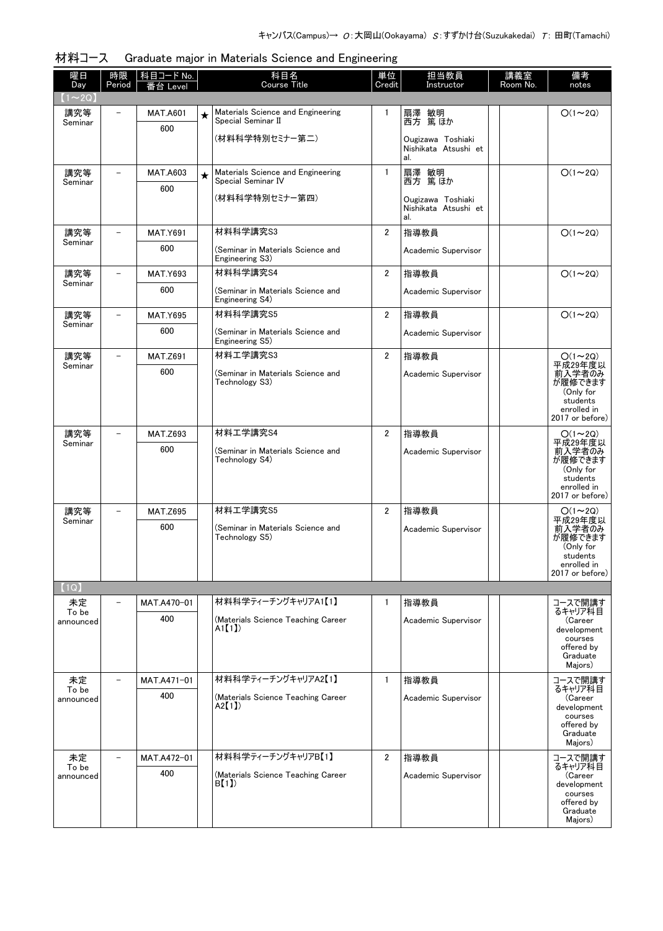| 曜日<br>Day                     | 時限<br>Period             | 科目コード No.<br>番台 Level  |         | 科目名<br>Course Title                                     | 単位<br>Credit   | 担当教員<br>Instructor                               | 講義室<br>Room No. | 備考<br>notes                                                                             |
|-------------------------------|--------------------------|------------------------|---------|---------------------------------------------------------|----------------|--------------------------------------------------|-----------------|-----------------------------------------------------------------------------------------|
| $(1\!\thicksim\!2\mathrm{Q})$ |                          |                        |         |                                                         |                |                                                  |                 |                                                                                         |
| 講究等<br>Seminar                |                          | <b>MAT.A601</b><br>600 | $\star$ | Materials Science and Engineering<br>Special Seminar II | $\mathbf{1}$   | 扇澤 敏明<br>西方 篤ほか                                  |                 | $O(1\sim 2Q)$                                                                           |
|                               |                          |                        |         | (材料科学特別セミナー第二)                                          |                | Ougizawa Toshiaki<br>Nishikata Atsushi et<br>al. |                 |                                                                                         |
| 講究等<br>Seminar                | $\overline{\phantom{0}}$ | <b>MAT.A603</b>        | $\star$ | Materials Science and Engineering<br>Special Seminar IV | $\mathbf{1}$   | 扇澤 敏明<br>西方 篤ほか                                  |                 | $O(1\sim 2Q)$                                                                           |
|                               |                          | 600                    |         | (材料科学特別セミナー第四)                                          |                | Ougizawa Toshiaki<br>Nishikata Atsushi et<br>al. |                 |                                                                                         |
| 講究等                           |                          | <b>MAT.Y691</b>        |         | 材料科学講究S3                                                | $\overline{2}$ | 指導教員                                             |                 | $O(1\sim 2Q)$                                                                           |
| Seminar                       |                          | 600                    |         | (Seminar in Materials Science and<br>Engineering S3)    |                | Academic Supervisor                              |                 |                                                                                         |
| 講究等                           |                          | <b>MAT.Y693</b>        |         | 材料科学講究S4                                                | $\overline{2}$ | 指導教員                                             |                 | $O(1\sim 2Q)$                                                                           |
| Seminar                       |                          | 600                    |         | (Seminar in Materials Science and<br>Engineering S4)    |                | Academic Supervisor                              |                 |                                                                                         |
| 講究等<br>Seminar                | $\overline{\phantom{0}}$ | <b>MAT.Y695</b>        |         | 材料科学講究S5                                                | $\overline{2}$ | 指導教員                                             |                 | $O(1\sim 2Q)$                                                                           |
|                               |                          | 600                    |         | (Seminar in Materials Science and<br>Engineering S5)    |                | Academic Supervisor                              |                 |                                                                                         |
| 講究等<br>Seminar                | $\overline{\phantom{0}}$ | <b>MAT.Z691</b>        |         | 材料工学講究S3                                                | $\overline{2}$ | 指導教員                                             |                 | $O(1\sim 2Q)$<br>平成29年度以                                                                |
|                               |                          | 600                    |         | (Seminar in Materials Science and<br>Technology S3)     |                | Academic Supervisor                              |                 | 前入学者のみ<br>が履修できます<br>(Only for<br>students<br>enrolled in<br>2017 or before)            |
| 講究等<br>Seminar                | $\overline{\phantom{a}}$ | <b>MAT.Z693</b>        |         | 材料工学講究S4                                                | $\overline{2}$ | 指導教員                                             |                 | $O(1\sim 2Q)$<br>平成29年度以                                                                |
|                               |                          | 600                    |         | (Seminar in Materials Science and<br>Technology S4)     |                | Academic Supervisor                              |                 | 前入学者のみ<br>が履修できます<br>(Only for<br>students<br>enrolled in<br>2017 or before)            |
| 講究等                           |                          | <b>MAT.Z695</b>        |         | 材料工学講究S5                                                | $\overline{2}$ | 指導教員                                             |                 | $O(1\sim 2Q)$                                                                           |
| Seminar                       |                          | 600                    |         | (Seminar in Materials Science and<br>Technology S5)     |                | Academic Supervisor                              |                 | 平成29年度以<br>前入学者のみ<br>が履修できます<br>(Only for<br>students<br>enrolled in<br>2017 or before) |
| (1Q)                          |                          |                        |         |                                                         |                |                                                  |                 |                                                                                         |
| 未定<br>To be                   |                          | MAT.A470-01            |         | 材料科学ティーチングキャリアA1【1】                                     | $\mathbf{1}$   | 指導教員                                             |                 | コースで開講す<br>るキャリア科目                                                                      |
| announced                     |                          | 400                    |         | (Materials Science Teaching Career<br>$A1$ [1])         |                | Academic Supervisor                              |                 | (Career<br>development<br>courses<br>offered by<br>Graduate<br>Majors)                  |
| 未定<br>To be                   | $\overline{\phantom{a}}$ | MAT.A471-01            |         | 材料科学ティーチングキャリアA2【1】                                     | $\mathbf{1}$   | 指導教員                                             |                 | コースで開講す<br>るキャリア科目                                                                      |
| announced                     |                          | 400                    |         | (Materials Science Teaching Career<br>A2[1]             |                | Academic Supervisor                              |                 | (Career<br>development<br>courses<br>offered by<br>Graduate<br>Majors)                  |
| 未定<br>To be                   | $\overline{\phantom{0}}$ | MAT.A472-01            |         | 材料科学ティーチングキャリアB【1】                                      | $\overline{2}$ | 指導教員                                             |                 | コースで開講す<br>るキャリア科目                                                                      |
| announced                     |                          | 400                    |         | (Materials Science Teaching Career<br>B[1]              |                | Academic Supervisor                              |                 | (Career<br>development<br>courses<br>offered by<br>Graduate<br>Majors)                  |

#### 材料コース Graduate major in Materials Science and Engineering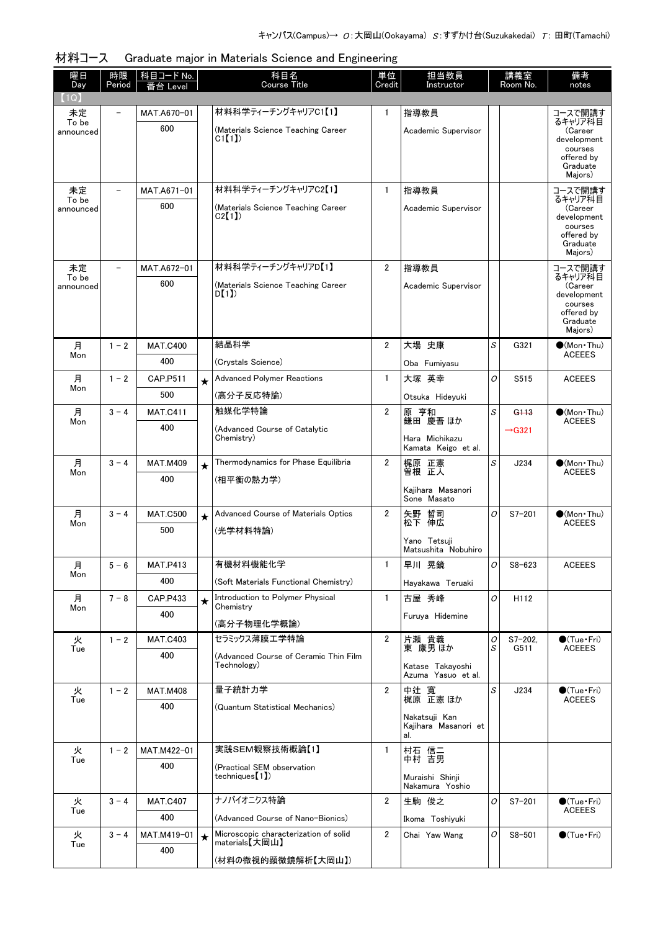| 曜日<br>Day          | 時限<br>Period             | 科目コード No.<br>番台 Level |         | 科目名<br><b>Course Title</b>                              | 単位<br>Credit   | 担当教員<br>Instructor                    |        | 講義室<br>Room No.      | 備考<br>notes                             |
|--------------------|--------------------------|-----------------------|---------|---------------------------------------------------------|----------------|---------------------------------------|--------|----------------------|-----------------------------------------|
| 1Q                 |                          |                       |         |                                                         |                |                                       |        |                      |                                         |
| 未定<br>To be        |                          | MAT.A670-01           |         | 材料科学ティーチングキャリアC1【1】                                     | $\mathbf{1}$   | 指導教員                                  |        |                      | コースで開講す<br>るキャリア科目                      |
| announced          |                          | 600                   |         | (Materials Science Teaching Career<br>CI(1)             |                | Academic Supervisor                   |        |                      | (Career<br>development                  |
|                    |                          |                       |         |                                                         |                |                                       |        |                      | courses<br>offered by                   |
|                    |                          |                       |         |                                                         |                |                                       |        |                      | Graduate<br>Majors)                     |
| 未定<br>To be        | $\overline{\phantom{a}}$ | MAT.A671-01           |         | 材料科学ティーチングキャリアC2【1】                                     | $\mathbf{1}$   | 指導教員                                  |        |                      | コースで開講す<br>るキャリア科目                      |
| announced          |                          | 600                   |         | (Materials Science Teaching Career<br>C2(1)             |                | Academic Supervisor                   |        |                      | (Career<br>development                  |
|                    |                          |                       |         |                                                         |                |                                       |        |                      | courses<br>offered by                   |
|                    |                          |                       |         |                                                         |                |                                       |        |                      | Graduate<br>Majors)                     |
| 未定                 |                          | MAT.A672-01           |         | 材料科学ティーチングキャリアD【1】                                      | $\overline{2}$ | 指導教員                                  |        |                      | コースで開講す                                 |
| To be<br>announced |                          | 600                   |         | (Materials Science Teaching Career<br>D(1)              |                | Academic Supervisor                   |        |                      | るキャリア科目<br>(Career                      |
|                    |                          |                       |         |                                                         |                |                                       |        |                      | development<br>courses<br>offered by    |
|                    |                          |                       |         |                                                         |                |                                       |        |                      | Graduate<br>Majors)                     |
| 月                  | $1 - 2$                  | <b>MAT.C400</b>       |         | 結晶科学                                                    | $\overline{2}$ | 大場 史康                                 | S      | G321                 | $\bullet$ (Mon · Thu)                   |
| Mon                |                          | 400                   |         | (Crystals Science)                                      |                | Oba Fumiyasu                          |        |                      | <b>ACEEES</b>                           |
| 月                  | $1 - 2$                  | CAP.P511              | $\star$ | <b>Advanced Polymer Reactions</b>                       | $\mathbf{1}$   | 大塚 英幸                                 | O      | S515                 | <b>ACEEES</b>                           |
| Mon                |                          | 500                   |         | (高分子反応特論)                                               |                | Otsuka Hideyuki                       |        |                      |                                         |
| 月<br>Mon           | $3 - 4$                  | <b>MAT.C411</b>       |         | 触媒化学特論                                                  | $\overline{2}$ | 原 亨和<br>鎌田 慶吾 ほか                      | S      | G <sub>113</sub>     | $\bullet$ (Mon•Thu)<br><b>ACEEES</b>    |
|                    |                          | 400                   |         | (Advanced Course of Catalytic<br>Chemistry)             |                | Hara Michikazu                        |        | $\rightarrow$ G321   |                                         |
| 月                  | $3 - 4$                  | <b>MAT.M409</b>       |         | Thermodynamics for Phase Equilibria                     | $\overline{2}$ | Kamata Keigo et al.<br>梶原 正憲          | S      | J234                 | $\bullet$ (Mon Thu)                     |
| Mon                |                          | 400                   | $\star$ | (相平衡の熱力学)                                               |                | 曽根 正人                                 |        |                      | <b>ACEEES</b>                           |
|                    |                          |                       |         |                                                         |                | Kaiihara Masanori<br>Sone Masato      |        |                      |                                         |
| 月                  | $3 - 4$                  | <b>MAT.C500</b>       | $\star$ | Advanced Course of Materials Optics                     | $\overline{2}$ | 矢野 哲司<br>松下 伸広                        | O      | $S7 - 201$           | $\bullet$ (Mon Thu)                     |
| Mon                |                          | 500                   |         | (光学材料特論)                                                |                | Yano Tetsuji                          |        |                      | <b>ACEEES</b>                           |
|                    |                          |                       |         |                                                         |                | Matsushita Nobuhiro                   |        |                      |                                         |
| 月<br>Mon           | $5 - 6$                  | <b>MAT.P413</b>       |         | 有機材料機能化学                                                | 1.             | 早川 晃鏡                                 | 0      | $S8 - 623$           | <b>ACEEES</b>                           |
|                    |                          | 400                   |         | (Soft Materials Functional Chemistry)                   |                | Hayakawa Teruaki                      |        |                      |                                         |
| 月<br>Mon           | $7 - 8$                  | CAP.P433<br>400       | $\star$ | Introduction to Polymer Physical<br>Chemistry           | $\mathbf{1}$   | 古屋 秀峰                                 | 0      | H112                 |                                         |
|                    |                          |                       |         | (高分子物理化学概論)                                             |                | Furuya Hidemine                       |        |                      |                                         |
| 火<br>Tue           | $1 - 2$                  | <b>MAT.C403</b>       |         | セラミックス薄膜工学特論                                            | $\overline{2}$ | 片瀬 貴義<br>東 康男ほか                       | 0<br>S | $S7 - 202$ .<br>G511 | $\bigcirc$ (Tue · Fri)<br><b>ACEEES</b> |
|                    |                          | 400                   |         | (Advanced Course of Ceramic Thin Film<br>Technology)    |                | Katase Takayoshi                      |        |                      |                                         |
| 火                  | $1 - 2$                  | <b>MAT.M408</b>       |         | 量子統計力学                                                  | $\overline{2}$ | Azuma Yasuo et al.                    | S      | J234                 | $\bullet$ (Tue · Fri)                   |
| Tue                |                          | 400                   |         | (Quantum Statistical Mechanics)                         |                | 中辻 寛<br>梶原 正憲ほか                       |        |                      | <b>ACEEES</b>                           |
|                    |                          |                       |         |                                                         |                | Nakatsuji Kan<br>Kajihara Masanori et |        |                      |                                         |
|                    |                          |                       |         | 実践SEM観察技術概論【1】                                          | 1              | al.                                   |        |                      |                                         |
| 火<br>Tue           | $1 - 2$                  | MAT.M422-01<br>400    |         | (Practical SEM observation                              |                | 村石 信二<br>中村 吉男                        |        |                      |                                         |
|                    |                          |                       |         | techniques [1])                                         |                | Muraishi Shinji<br>Nakamura Yoshio    |        |                      |                                         |
| 火                  | $3 - 4$                  | <b>MAT.C407</b>       |         | ナノバイオニクス特論                                              | $\overline{2}$ | 生駒 俊之                                 | 0      | $S7 - 201$           | $\bullet$ (Tue $\cdot$ Fri)             |
| Tue                |                          | 400                   |         | (Advanced Course of Nano-Bionics)                       |                | Ikoma Toshiyuki                       |        |                      | <b>ACEEES</b>                           |
| 火<br>Tue           | $3 - 4$                  | MAT.M419-01           | $\star$ | Microscopic characterization of solid<br>materials【大岡山】 | $\overline{2}$ | Chai Yaw Wang                         | 0      | $S8 - 501$           | $\bigcirc$ (Tue · Fri)                  |
|                    |                          | 400                   |         | (材料の微視的顕微鏡解析【大岡山】)                                      |                |                                       |        |                      |                                         |

材料コース Graduate major in Materials Science and Engineering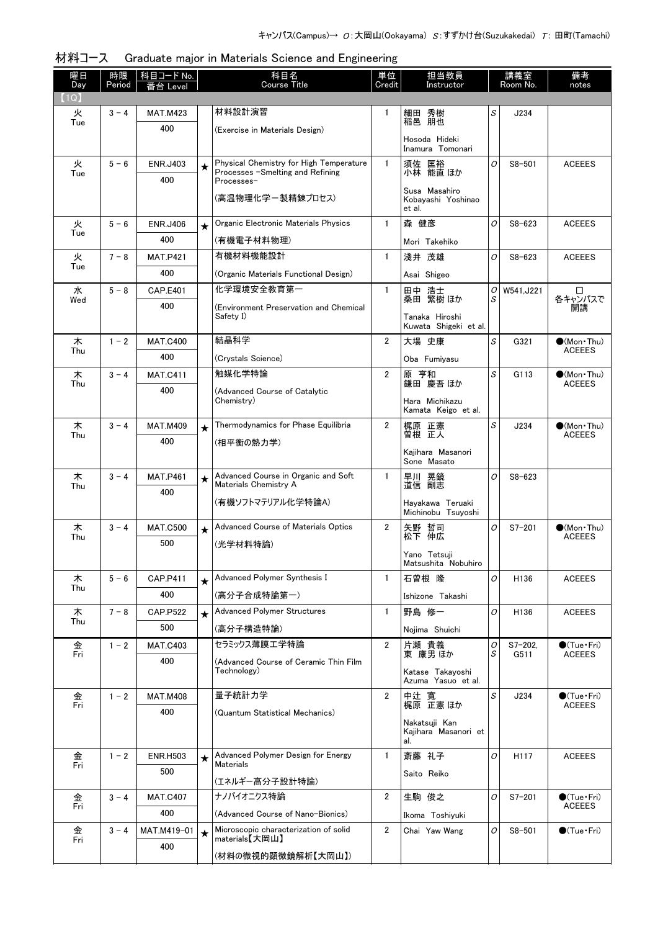| 材料コース Graduate major in Materials Science and Engineering |
|-----------------------------------------------------------|
|                                                           |

| 曜日<br>Day | 時限<br>Period | │科目コード No. │<br>番台 Level |         | 科目名<br>Course Title                                                         | 単位<br>Credit   | 担当教員<br>Instructor                            |                                                    | 講義室<br>Room No.     | 備考<br>notes                           |
|-----------|--------------|--------------------------|---------|-----------------------------------------------------------------------------|----------------|-----------------------------------------------|----------------------------------------------------|---------------------|---------------------------------------|
| (1Q)      |              |                          |         |                                                                             |                |                                               |                                                    |                     |                                       |
| 火<br>Tue  | $3 - 4$      | <b>MAT.M423</b>          |         | 材料設計演習                                                                      | 1              | 細田 秀樹<br>稲邑 朋也                                | S                                                  | J234                |                                       |
|           |              | 400                      |         | (Exercise in Materials Design)                                              |                | Hosoda Hideki<br>Inamura Tomonari             |                                                    |                     |                                       |
| 火         | $5 - 6$      | <b>ENR.J403</b>          | $\star$ | Physical Chemistry for High Temperature<br>Processes -Smelting and Refining | $\mathbf{1}$   | 須佐 匡裕<br>小林 能直 ほか                             | 0                                                  | $S8 - 501$          | <b>ACEEES</b>                         |
| Tue       |              | 400                      |         | Processes-                                                                  |                |                                               |                                                    |                     |                                       |
|           |              |                          |         | (高温物理化学ー製精錬プロセス)                                                            |                | Susa Masahiro<br>Kobayashi Yoshinao<br>et al. |                                                    |                     |                                       |
| 火<br>Tue  | $5 - 6$      | <b>ENR.J406</b>          | $\star$ | Organic Electronic Materials Physics                                        | $\mathbf{1}$   | 森 健彦                                          | O                                                  | $S8 - 623$          | <b>ACEEES</b>                         |
|           |              | 400                      |         | (有機電子材料物理)                                                                  |                | Mori Takehiko                                 |                                                    |                     |                                       |
| 火<br>Tue  | $7 - 8$      | <b>MAT.P421</b>          |         | 有機材料機能設計                                                                    | $\mathbf{1}$   | 淺井 茂雄                                         | O                                                  | $S8 - 623$          | <b>ACEEES</b>                         |
|           |              | 400                      |         | (Organic Materials Functional Design)                                       |                | Asai Shigeo                                   |                                                    |                     |                                       |
| 水<br>Wed  | $5 - 8$      | <b>CAP.E401</b>          |         | 化学環境安全教育第一                                                                  | $\mathbf{1}$   | 田中 浩士<br>桑田 繁樹 ほか                             | S                                                  | $O$ W541.J221       | □<br>各キャンパスで                          |
|           |              | 400                      |         | (Environment Preservation and Chemical<br>Safety I)                         |                | Tanaka Hiroshi<br>Kuwata Shigeki et al.       |                                                    |                     | 開講                                    |
| 木         | $1 - 2$      | <b>MAT.C400</b>          |         | 結晶科学                                                                        | $\overline{2}$ | 大場 史康                                         | $\mathcal{S}% _{CS}^{(n)}:=\mathcal{S}_{CS}^{(n)}$ | G321                | $\bullet$ (Mon Thu)                   |
| Thu       |              | 400                      |         | (Crystals Science)                                                          |                | Oba Fumivasu                                  |                                                    |                     | <b>ACEEES</b>                         |
| 木<br>Thu  | $3 - 4$      | <b>MAT.C411</b>          |         | 触媒化学特論                                                                      | $\overline{2}$ | 原 亨和<br>鎌田 慶吾 ほか                              | S                                                  | G113                | $\bullet$ (Mon Thu)<br><b>ACEEES</b>  |
|           |              | 400                      |         | (Advanced Course of Catalytic<br>Chemistry)                                 |                | Hara Michikazu                                |                                                    |                     |                                       |
|           |              |                          |         |                                                                             |                | Kamata Keigo et al.                           |                                                    |                     |                                       |
| 木<br>Thu  | $3 - 4$      | <b>MAT.M409</b>          | $\star$ | Thermodynamics for Phase Equilibria                                         | $\overline{2}$ | 梶原 正憲<br>曽根 正人                                | S                                                  | J234                | $\bullet$ (Mon Thu)<br><b>ACEEES</b>  |
|           |              | 400                      |         | (相平衡の熱力学)                                                                   |                | Kajihara Masanori                             |                                                    |                     |                                       |
|           |              |                          |         |                                                                             |                | Sone Masato                                   |                                                    |                     |                                       |
| 木<br>Thu  | $3 - 4$      | <b>MAT.P461</b>          | $\star$ | Advanced Course in Organic and Soft<br>Materials Chemistry A                | $\mathbf{1}$   | 早川 晃鏡<br>道信 剛志                                | $\overline{O}$                                     | $S8 - 623$          |                                       |
|           |              | 400                      |         | (有機ソフトマテリアル化学特論A)                                                           |                | Hayakawa Teruaki                              |                                                    |                     |                                       |
|           |              |                          |         |                                                                             |                | Michinobu Tsuyoshi                            |                                                    |                     |                                       |
| 木<br>Thu  | $3 - 4$      | <b>MAT.C500</b><br>500   | $\star$ | Advanced Course of Materials Optics                                         | $\overline{2}$ | 矢野 哲司<br>松下 伸広                                | O                                                  | $S7 - 201$          | $\bullet$ (Mon Thu)<br><b>ACEEES</b>  |
|           |              |                          |         | (光学材料特論)                                                                    |                | Yano Tetsuji<br>Matsushita Nobuhiro           |                                                    |                     |                                       |
| 木<br>Thu  | $5 - 6$      | <b>CAP.P411</b>          | $\star$ | Advanced Polymer Synthesis I                                                | $\mathbf{1}$   | 石曽根 隆                                         | O                                                  | H136                | <b>ACEEES</b>                         |
|           |              | 400                      |         | (高分子合成特論第一)                                                                 |                | Ishizone Takashi                              |                                                    |                     |                                       |
| 木<br>Thu  | $7 - 8$      | <b>CAP.P522</b>          | $\star$ | <b>Advanced Polymer Structures</b>                                          | $\mathbf{1}$   | 野島 修一                                         | O                                                  | H136                | <b>ACEEES</b>                         |
|           |              | 500                      |         | (高分子構造特論)                                                                   |                | Noiima Shuichi                                |                                                    |                     |                                       |
| 金<br>Fri  | $1 - 2$      | <b>MAT.C403</b>          |         | セラミックス薄膜工学特論                                                                | $\overline{2}$ | 片瀬 貴義<br>東 康男 ほか                              | 0<br>S                                             | $S7 - 202.$<br>G511 | $\bigcirc$ (Tue·Fri)<br><b>ACEEES</b> |
|           |              | 400                      |         | (Advanced Course of Ceramic Thin Film<br>Technology)                        |                | Katase Takayoshi<br>Azuma Yasuo et al.        |                                                    |                     |                                       |
| 金<br>Fri  | $1 - 2$      | <b>MAT.M408</b>          |         | 量子統計力学                                                                      | 2              | 中辻 寬<br>梶原 正憲 ほか                              | S                                                  | J234                | $\bullet$ (Tue•Fri)                   |
|           |              | 400                      |         | (Quantum Statistical Mechanics)                                             |                |                                               |                                                    |                     | <b>ACEEES</b>                         |
|           |              |                          |         |                                                                             |                | Nakatsuji Kan<br>Kajihara Masanori et<br>al.  |                                                    |                     |                                       |
| 金<br>Fri  | $1 - 2$      | <b>ENR.H503</b>          | $\star$ | Advanced Polymer Design for Energy                                          |                | 斎藤 礼子                                         | O                                                  | H117                | <b>ACEEES</b>                         |
|           |              | 500                      |         | Materials<br>(エネルギー高分子設計特論)                                                 |                | Saito Reiko                                   |                                                    |                     |                                       |
| 金         | $3 - 4$      | <b>MAT.C407</b>          |         | ナノバイオニクス特論                                                                  |                | 生駒 俊之                                         | O                                                  | $S7 - 201$          | $\bigcirc$ (Tue · Fri)                |
| Fri       |              | 400                      |         | (Advanced Course of Nano-Bionics)                                           |                | Ikoma Toshiyuki                               |                                                    |                     | <b>ACEEES</b>                         |
| 金         | $3 - 4$      | MAT.M419-01              | $\star$ | Microscopic characterization of solid                                       | 2              | Chai Yaw Wang                                 | 0                                                  | $S8 - 501$          | $\bullet$ (Tue•Fri)                   |
| Fri       |              | 400                      |         | materials【大岡山】                                                              |                |                                               |                                                    |                     |                                       |
|           |              |                          |         | (材料の微視的顕微鏡解析【大岡山】)                                                          |                |                                               |                                                    |                     |                                       |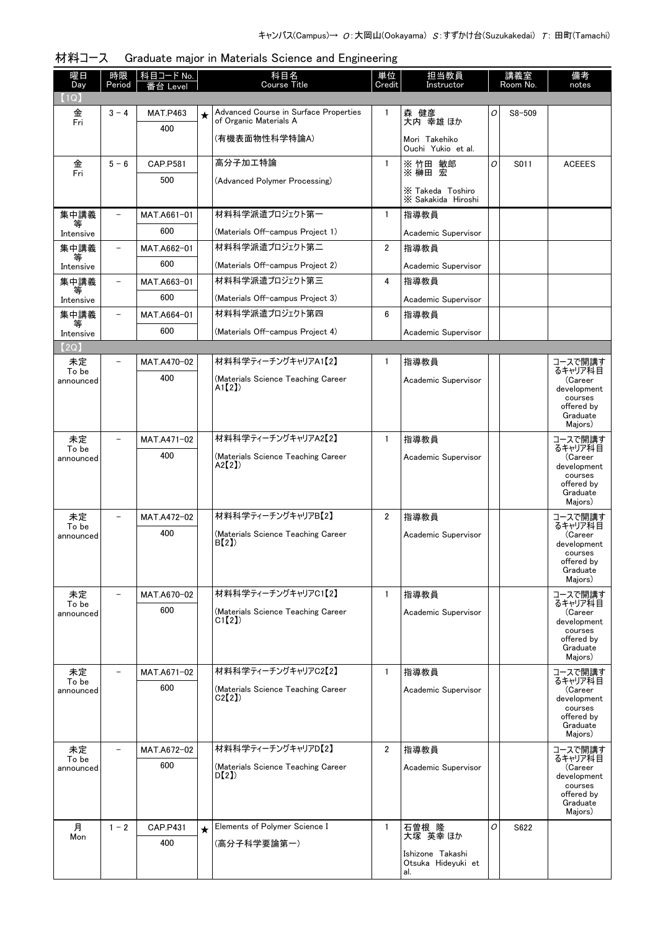| $\lceil 1 \mathsf{Q} \rceil$<br>Advanced Course in Surface Properties<br>森 健彦<br>金<br>Fri<br>$\mathbf{1}$<br>0<br>$S8 - 509$<br>$3 - 4$<br><b>MAT.P463</b><br>$\star$<br>of Organic Materials A<br>大内 幸雄 ほか<br>400<br>(有機表面物性科学特論A)<br>Mori Takehiko<br>Ouchi Yukio et al.<br>高分子加工特論<br>$\mathbf{1}$<br>※竹田 敏郎<br>O<br>金<br>Fri<br>$5 - 6$<br>S011<br><b>ACEEES</b><br><b>CAP.P581</b><br>※ 榊田 宏<br>500<br>(Advanced Polymer Processing)<br>X Takeda Toshiro<br>X Sakakida Hiroshi<br>材料科学派遣プロジェクト第一<br>集中講義<br>指導教員<br>MAT.A661-01<br>$\mathbf{1}$<br>$\overline{\phantom{0}}$<br>等<br>600<br>(Materials Off-campus Project 1)<br>Academic Supervisor<br>Intensive<br>材料科学派遣プロジェクト第二<br>集中講義<br>MAT.A662-01<br>$\overline{2}$<br>指導教員<br>$\overline{\phantom{0}}$<br>等<br>600<br>(Materials Off-campus Project 2)<br>Academic Supervisor<br>Intensive<br>材料科学派遣プロジェクト第三<br>集中講義<br>4<br>指導教員<br>MAT.A663-01<br>$\qquad \qquad -$<br>等<br>600<br>(Materials Off-campus Project 3)<br>Academic Supervisor<br>Intensive<br>材料科学派遣プロジェクト第四<br>集中講義<br>6<br>MAT.A664-01<br>指導教員<br>$\overline{\phantom{0}}$<br>等<br>600<br>(Materials Off-campus Project 4)<br>Academic Supervisor<br>Intensive<br>(2Q)<br>材料科学ティーチングキャリアA1【2】<br>指導教員<br>未定<br>$\mathbf{1}$<br>コースで開講す<br>$\overline{\phantom{0}}$<br>MAT.A470-02<br>るキャリア科目<br>To be<br>400<br>(Materials Science Teaching Career<br>(Career<br>Academic Supervisor<br>announced<br>$A1$ [2])<br>development<br>courses<br>offered by<br>Graduate<br>Majors)<br>材料科学ティーチングキャリアA2【2】<br>$\mathbf{1}$<br>指導教員<br>コースで開講す<br>未定<br>MAT.A471-02<br>るキャリア科目<br>To be<br>400<br>(Materials Science Teaching Career<br>Academic Supervisor<br>(Career<br>announced<br>A2[2]<br>development<br>courses<br>offered by<br>Graduate<br>Majors)<br>材料科学ティーチングキャリアB【2】<br>$\overline{2}$<br>指導教員<br>未定<br>コースで開講す<br>MAT.A472-02<br>るキャリア科目<br>To be<br>400<br>(Materials Science Teaching Career<br>Academic Supervisor<br>(Career<br>announced<br>B(2)<br>development<br>courses<br>offered by<br>Graduate<br>Majors)<br>材料科学ティーチングキャリアC1【2】<br>$\mathbf{1}$<br>指導教員<br>未定<br>コースで開講す<br>MAT.A670-02<br>$\overline{\phantom{0}}$<br>るキャリア科目<br>To be<br>600<br>(Materials Science Teaching Career<br>Academic Supervisor<br>(Career<br>announced<br>CI(2)<br>development<br>courses<br>offered by<br>Graduate<br>Majors)<br>材料科学ティーチングキャリアC2【2】<br>$\mathbf{1}$<br>コースで開講す<br>未定<br>指導教員<br>MAT.A671-02<br>るキャリア科目<br>To be<br>600<br>(Materials Science Teaching Career<br>Academic Supervisor<br>(Career<br>announced<br>C2(2)<br>development<br>courses<br>offered by<br>Graduate | 曜日<br>Day | 時限<br>Period | 科目コード No.<br>番台 Level | 科目名<br>Course Title | 単位<br>Credit | 担当教員<br>Instructor | 講義室<br>Room No. | 備考<br>notes |
|--------------------------------------------------------------------------------------------------------------------------------------------------------------------------------------------------------------------------------------------------------------------------------------------------------------------------------------------------------------------------------------------------------------------------------------------------------------------------------------------------------------------------------------------------------------------------------------------------------------------------------------------------------------------------------------------------------------------------------------------------------------------------------------------------------------------------------------------------------------------------------------------------------------------------------------------------------------------------------------------------------------------------------------------------------------------------------------------------------------------------------------------------------------------------------------------------------------------------------------------------------------------------------------------------------------------------------------------------------------------------------------------------------------------------------------------------------------------------------------------------------------------------------------------------------------------------------------------------------------------------------------------------------------------------------------------------------------------------------------------------------------------------------------------------------------------------------------------------------------------------------------------------------------------------------------------------------------------------------------------------------------------------------------------------------------------------------------------------------------------------------------------------------------------------------------------------------------------------------------------------------------------------------------------------------------------------------------------------------------------------------------------------------------------------------------------------------------------------------------------------------------------------------------------------------------------------------------------------------------------------|-----------|--------------|-----------------------|---------------------|--------------|--------------------|-----------------|-------------|
|                                                                                                                                                                                                                                                                                                                                                                                                                                                                                                                                                                                                                                                                                                                                                                                                                                                                                                                                                                                                                                                                                                                                                                                                                                                                                                                                                                                                                                                                                                                                                                                                                                                                                                                                                                                                                                                                                                                                                                                                                                                                                                                                                                                                                                                                                                                                                                                                                                                                                                                                                                                                                          |           |              |                       |                     |              |                    |                 |             |
|                                                                                                                                                                                                                                                                                                                                                                                                                                                                                                                                                                                                                                                                                                                                                                                                                                                                                                                                                                                                                                                                                                                                                                                                                                                                                                                                                                                                                                                                                                                                                                                                                                                                                                                                                                                                                                                                                                                                                                                                                                                                                                                                                                                                                                                                                                                                                                                                                                                                                                                                                                                                                          |           |              |                       |                     |              |                    |                 |             |
|                                                                                                                                                                                                                                                                                                                                                                                                                                                                                                                                                                                                                                                                                                                                                                                                                                                                                                                                                                                                                                                                                                                                                                                                                                                                                                                                                                                                                                                                                                                                                                                                                                                                                                                                                                                                                                                                                                                                                                                                                                                                                                                                                                                                                                                                                                                                                                                                                                                                                                                                                                                                                          |           |              |                       |                     |              |                    |                 |             |
|                                                                                                                                                                                                                                                                                                                                                                                                                                                                                                                                                                                                                                                                                                                                                                                                                                                                                                                                                                                                                                                                                                                                                                                                                                                                                                                                                                                                                                                                                                                                                                                                                                                                                                                                                                                                                                                                                                                                                                                                                                                                                                                                                                                                                                                                                                                                                                                                                                                                                                                                                                                                                          |           |              |                       |                     |              |                    |                 |             |
|                                                                                                                                                                                                                                                                                                                                                                                                                                                                                                                                                                                                                                                                                                                                                                                                                                                                                                                                                                                                                                                                                                                                                                                                                                                                                                                                                                                                                                                                                                                                                                                                                                                                                                                                                                                                                                                                                                                                                                                                                                                                                                                                                                                                                                                                                                                                                                                                                                                                                                                                                                                                                          |           |              |                       |                     |              |                    |                 |             |
|                                                                                                                                                                                                                                                                                                                                                                                                                                                                                                                                                                                                                                                                                                                                                                                                                                                                                                                                                                                                                                                                                                                                                                                                                                                                                                                                                                                                                                                                                                                                                                                                                                                                                                                                                                                                                                                                                                                                                                                                                                                                                                                                                                                                                                                                                                                                                                                                                                                                                                                                                                                                                          |           |              |                       |                     |              |                    |                 |             |
|                                                                                                                                                                                                                                                                                                                                                                                                                                                                                                                                                                                                                                                                                                                                                                                                                                                                                                                                                                                                                                                                                                                                                                                                                                                                                                                                                                                                                                                                                                                                                                                                                                                                                                                                                                                                                                                                                                                                                                                                                                                                                                                                                                                                                                                                                                                                                                                                                                                                                                                                                                                                                          |           |              |                       |                     |              |                    |                 |             |
|                                                                                                                                                                                                                                                                                                                                                                                                                                                                                                                                                                                                                                                                                                                                                                                                                                                                                                                                                                                                                                                                                                                                                                                                                                                                                                                                                                                                                                                                                                                                                                                                                                                                                                                                                                                                                                                                                                                                                                                                                                                                                                                                                                                                                                                                                                                                                                                                                                                                                                                                                                                                                          |           |              |                       |                     |              |                    |                 |             |
|                                                                                                                                                                                                                                                                                                                                                                                                                                                                                                                                                                                                                                                                                                                                                                                                                                                                                                                                                                                                                                                                                                                                                                                                                                                                                                                                                                                                                                                                                                                                                                                                                                                                                                                                                                                                                                                                                                                                                                                                                                                                                                                                                                                                                                                                                                                                                                                                                                                                                                                                                                                                                          |           |              |                       |                     |              |                    |                 |             |
|                                                                                                                                                                                                                                                                                                                                                                                                                                                                                                                                                                                                                                                                                                                                                                                                                                                                                                                                                                                                                                                                                                                                                                                                                                                                                                                                                                                                                                                                                                                                                                                                                                                                                                                                                                                                                                                                                                                                                                                                                                                                                                                                                                                                                                                                                                                                                                                                                                                                                                                                                                                                                          |           |              |                       |                     |              |                    |                 |             |
|                                                                                                                                                                                                                                                                                                                                                                                                                                                                                                                                                                                                                                                                                                                                                                                                                                                                                                                                                                                                                                                                                                                                                                                                                                                                                                                                                                                                                                                                                                                                                                                                                                                                                                                                                                                                                                                                                                                                                                                                                                                                                                                                                                                                                                                                                                                                                                                                                                                                                                                                                                                                                          |           |              |                       |                     |              |                    |                 |             |
|                                                                                                                                                                                                                                                                                                                                                                                                                                                                                                                                                                                                                                                                                                                                                                                                                                                                                                                                                                                                                                                                                                                                                                                                                                                                                                                                                                                                                                                                                                                                                                                                                                                                                                                                                                                                                                                                                                                                                                                                                                                                                                                                                                                                                                                                                                                                                                                                                                                                                                                                                                                                                          |           |              |                       |                     |              |                    |                 |             |
|                                                                                                                                                                                                                                                                                                                                                                                                                                                                                                                                                                                                                                                                                                                                                                                                                                                                                                                                                                                                                                                                                                                                                                                                                                                                                                                                                                                                                                                                                                                                                                                                                                                                                                                                                                                                                                                                                                                                                                                                                                                                                                                                                                                                                                                                                                                                                                                                                                                                                                                                                                                                                          |           |              |                       |                     |              |                    |                 |             |
|                                                                                                                                                                                                                                                                                                                                                                                                                                                                                                                                                                                                                                                                                                                                                                                                                                                                                                                                                                                                                                                                                                                                                                                                                                                                                                                                                                                                                                                                                                                                                                                                                                                                                                                                                                                                                                                                                                                                                                                                                                                                                                                                                                                                                                                                                                                                                                                                                                                                                                                                                                                                                          |           |              |                       |                     |              |                    |                 |             |
|                                                                                                                                                                                                                                                                                                                                                                                                                                                                                                                                                                                                                                                                                                                                                                                                                                                                                                                                                                                                                                                                                                                                                                                                                                                                                                                                                                                                                                                                                                                                                                                                                                                                                                                                                                                                                                                                                                                                                                                                                                                                                                                                                                                                                                                                                                                                                                                                                                                                                                                                                                                                                          |           |              |                       |                     |              |                    |                 |             |
|                                                                                                                                                                                                                                                                                                                                                                                                                                                                                                                                                                                                                                                                                                                                                                                                                                                                                                                                                                                                                                                                                                                                                                                                                                                                                                                                                                                                                                                                                                                                                                                                                                                                                                                                                                                                                                                                                                                                                                                                                                                                                                                                                                                                                                                                                                                                                                                                                                                                                                                                                                                                                          |           |              |                       |                     |              |                    |                 |             |
|                                                                                                                                                                                                                                                                                                                                                                                                                                                                                                                                                                                                                                                                                                                                                                                                                                                                                                                                                                                                                                                                                                                                                                                                                                                                                                                                                                                                                                                                                                                                                                                                                                                                                                                                                                                                                                                                                                                                                                                                                                                                                                                                                                                                                                                                                                                                                                                                                                                                                                                                                                                                                          |           |              |                       |                     |              |                    |                 |             |
|                                                                                                                                                                                                                                                                                                                                                                                                                                                                                                                                                                                                                                                                                                                                                                                                                                                                                                                                                                                                                                                                                                                                                                                                                                                                                                                                                                                                                                                                                                                                                                                                                                                                                                                                                                                                                                                                                                                                                                                                                                                                                                                                                                                                                                                                                                                                                                                                                                                                                                                                                                                                                          |           |              |                       |                     |              |                    |                 |             |
|                                                                                                                                                                                                                                                                                                                                                                                                                                                                                                                                                                                                                                                                                                                                                                                                                                                                                                                                                                                                                                                                                                                                                                                                                                                                                                                                                                                                                                                                                                                                                                                                                                                                                                                                                                                                                                                                                                                                                                                                                                                                                                                                                                                                                                                                                                                                                                                                                                                                                                                                                                                                                          |           |              |                       |                     |              |                    |                 |             |
|                                                                                                                                                                                                                                                                                                                                                                                                                                                                                                                                                                                                                                                                                                                                                                                                                                                                                                                                                                                                                                                                                                                                                                                                                                                                                                                                                                                                                                                                                                                                                                                                                                                                                                                                                                                                                                                                                                                                                                                                                                                                                                                                                                                                                                                                                                                                                                                                                                                                                                                                                                                                                          |           |              |                       |                     |              |                    |                 |             |
|                                                                                                                                                                                                                                                                                                                                                                                                                                                                                                                                                                                                                                                                                                                                                                                                                                                                                                                                                                                                                                                                                                                                                                                                                                                                                                                                                                                                                                                                                                                                                                                                                                                                                                                                                                                                                                                                                                                                                                                                                                                                                                                                                                                                                                                                                                                                                                                                                                                                                                                                                                                                                          |           |              |                       |                     |              |                    |                 |             |
|                                                                                                                                                                                                                                                                                                                                                                                                                                                                                                                                                                                                                                                                                                                                                                                                                                                                                                                                                                                                                                                                                                                                                                                                                                                                                                                                                                                                                                                                                                                                                                                                                                                                                                                                                                                                                                                                                                                                                                                                                                                                                                                                                                                                                                                                                                                                                                                                                                                                                                                                                                                                                          |           |              |                       |                     |              |                    |                 |             |
|                                                                                                                                                                                                                                                                                                                                                                                                                                                                                                                                                                                                                                                                                                                                                                                                                                                                                                                                                                                                                                                                                                                                                                                                                                                                                                                                                                                                                                                                                                                                                                                                                                                                                                                                                                                                                                                                                                                                                                                                                                                                                                                                                                                                                                                                                                                                                                                                                                                                                                                                                                                                                          |           |              |                       |                     |              |                    |                 |             |
|                                                                                                                                                                                                                                                                                                                                                                                                                                                                                                                                                                                                                                                                                                                                                                                                                                                                                                                                                                                                                                                                                                                                                                                                                                                                                                                                                                                                                                                                                                                                                                                                                                                                                                                                                                                                                                                                                                                                                                                                                                                                                                                                                                                                                                                                                                                                                                                                                                                                                                                                                                                                                          |           |              |                       |                     |              |                    |                 |             |
|                                                                                                                                                                                                                                                                                                                                                                                                                                                                                                                                                                                                                                                                                                                                                                                                                                                                                                                                                                                                                                                                                                                                                                                                                                                                                                                                                                                                                                                                                                                                                                                                                                                                                                                                                                                                                                                                                                                                                                                                                                                                                                                                                                                                                                                                                                                                                                                                                                                                                                                                                                                                                          |           |              |                       |                     |              |                    |                 |             |
|                                                                                                                                                                                                                                                                                                                                                                                                                                                                                                                                                                                                                                                                                                                                                                                                                                                                                                                                                                                                                                                                                                                                                                                                                                                                                                                                                                                                                                                                                                                                                                                                                                                                                                                                                                                                                                                                                                                                                                                                                                                                                                                                                                                                                                                                                                                                                                                                                                                                                                                                                                                                                          |           |              |                       |                     |              |                    |                 |             |
|                                                                                                                                                                                                                                                                                                                                                                                                                                                                                                                                                                                                                                                                                                                                                                                                                                                                                                                                                                                                                                                                                                                                                                                                                                                                                                                                                                                                                                                                                                                                                                                                                                                                                                                                                                                                                                                                                                                                                                                                                                                                                                                                                                                                                                                                                                                                                                                                                                                                                                                                                                                                                          |           |              |                       |                     |              |                    |                 |             |
|                                                                                                                                                                                                                                                                                                                                                                                                                                                                                                                                                                                                                                                                                                                                                                                                                                                                                                                                                                                                                                                                                                                                                                                                                                                                                                                                                                                                                                                                                                                                                                                                                                                                                                                                                                                                                                                                                                                                                                                                                                                                                                                                                                                                                                                                                                                                                                                                                                                                                                                                                                                                                          |           |              |                       |                     |              |                    |                 |             |
|                                                                                                                                                                                                                                                                                                                                                                                                                                                                                                                                                                                                                                                                                                                                                                                                                                                                                                                                                                                                                                                                                                                                                                                                                                                                                                                                                                                                                                                                                                                                                                                                                                                                                                                                                                                                                                                                                                                                                                                                                                                                                                                                                                                                                                                                                                                                                                                                                                                                                                                                                                                                                          |           |              |                       |                     |              |                    |                 |             |
|                                                                                                                                                                                                                                                                                                                                                                                                                                                                                                                                                                                                                                                                                                                                                                                                                                                                                                                                                                                                                                                                                                                                                                                                                                                                                                                                                                                                                                                                                                                                                                                                                                                                                                                                                                                                                                                                                                                                                                                                                                                                                                                                                                                                                                                                                                                                                                                                                                                                                                                                                                                                                          |           |              |                       |                     |              |                    |                 |             |
|                                                                                                                                                                                                                                                                                                                                                                                                                                                                                                                                                                                                                                                                                                                                                                                                                                                                                                                                                                                                                                                                                                                                                                                                                                                                                                                                                                                                                                                                                                                                                                                                                                                                                                                                                                                                                                                                                                                                                                                                                                                                                                                                                                                                                                                                                                                                                                                                                                                                                                                                                                                                                          |           |              |                       |                     |              |                    |                 |             |
|                                                                                                                                                                                                                                                                                                                                                                                                                                                                                                                                                                                                                                                                                                                                                                                                                                                                                                                                                                                                                                                                                                                                                                                                                                                                                                                                                                                                                                                                                                                                                                                                                                                                                                                                                                                                                                                                                                                                                                                                                                                                                                                                                                                                                                                                                                                                                                                                                                                                                                                                                                                                                          |           |              |                       |                     |              |                    |                 |             |
|                                                                                                                                                                                                                                                                                                                                                                                                                                                                                                                                                                                                                                                                                                                                                                                                                                                                                                                                                                                                                                                                                                                                                                                                                                                                                                                                                                                                                                                                                                                                                                                                                                                                                                                                                                                                                                                                                                                                                                                                                                                                                                                                                                                                                                                                                                                                                                                                                                                                                                                                                                                                                          |           |              |                       |                     |              |                    |                 |             |
|                                                                                                                                                                                                                                                                                                                                                                                                                                                                                                                                                                                                                                                                                                                                                                                                                                                                                                                                                                                                                                                                                                                                                                                                                                                                                                                                                                                                                                                                                                                                                                                                                                                                                                                                                                                                                                                                                                                                                                                                                                                                                                                                                                                                                                                                                                                                                                                                                                                                                                                                                                                                                          |           |              |                       |                     |              |                    |                 |             |
|                                                                                                                                                                                                                                                                                                                                                                                                                                                                                                                                                                                                                                                                                                                                                                                                                                                                                                                                                                                                                                                                                                                                                                                                                                                                                                                                                                                                                                                                                                                                                                                                                                                                                                                                                                                                                                                                                                                                                                                                                                                                                                                                                                                                                                                                                                                                                                                                                                                                                                                                                                                                                          |           |              |                       |                     |              |                    |                 |             |
|                                                                                                                                                                                                                                                                                                                                                                                                                                                                                                                                                                                                                                                                                                                                                                                                                                                                                                                                                                                                                                                                                                                                                                                                                                                                                                                                                                                                                                                                                                                                                                                                                                                                                                                                                                                                                                                                                                                                                                                                                                                                                                                                                                                                                                                                                                                                                                                                                                                                                                                                                                                                                          |           |              |                       |                     |              |                    |                 |             |
|                                                                                                                                                                                                                                                                                                                                                                                                                                                                                                                                                                                                                                                                                                                                                                                                                                                                                                                                                                                                                                                                                                                                                                                                                                                                                                                                                                                                                                                                                                                                                                                                                                                                                                                                                                                                                                                                                                                                                                                                                                                                                                                                                                                                                                                                                                                                                                                                                                                                                                                                                                                                                          |           |              |                       |                     |              |                    |                 |             |
|                                                                                                                                                                                                                                                                                                                                                                                                                                                                                                                                                                                                                                                                                                                                                                                                                                                                                                                                                                                                                                                                                                                                                                                                                                                                                                                                                                                                                                                                                                                                                                                                                                                                                                                                                                                                                                                                                                                                                                                                                                                                                                                                                                                                                                                                                                                                                                                                                                                                                                                                                                                                                          |           |              |                       |                     |              |                    |                 |             |
|                                                                                                                                                                                                                                                                                                                                                                                                                                                                                                                                                                                                                                                                                                                                                                                                                                                                                                                                                                                                                                                                                                                                                                                                                                                                                                                                                                                                                                                                                                                                                                                                                                                                                                                                                                                                                                                                                                                                                                                                                                                                                                                                                                                                                                                                                                                                                                                                                                                                                                                                                                                                                          |           |              |                       |                     |              |                    |                 | Majors)     |
| 材料科学ティーチングキャリアD【2】<br>$\overline{2}$<br>指導教員<br>未定<br>コースで開講す<br>MAT.A672-02                                                                                                                                                                                                                                                                                                                                                                                                                                                                                                                                                                                                                                                                                                                                                                                                                                                                                                                                                                                                                                                                                                                                                                                                                                                                                                                                                                                                                                                                                                                                                                                                                                                                                                                                                                                                                                                                                                                                                                                                                                                                                                                                                                                                                                                                                                                                                                                                                                                                                                                                             |           |              |                       |                     |              |                    |                 |             |
| るキャリア科目<br>To be<br>600<br>(Materials Science Teaching Career<br>(Career<br>Academic Supervisor<br>announced                                                                                                                                                                                                                                                                                                                                                                                                                                                                                                                                                                                                                                                                                                                                                                                                                                                                                                                                                                                                                                                                                                                                                                                                                                                                                                                                                                                                                                                                                                                                                                                                                                                                                                                                                                                                                                                                                                                                                                                                                                                                                                                                                                                                                                                                                                                                                                                                                                                                                                             |           |              |                       |                     |              |                    |                 |             |
| D(2)<br>development<br>courses                                                                                                                                                                                                                                                                                                                                                                                                                                                                                                                                                                                                                                                                                                                                                                                                                                                                                                                                                                                                                                                                                                                                                                                                                                                                                                                                                                                                                                                                                                                                                                                                                                                                                                                                                                                                                                                                                                                                                                                                                                                                                                                                                                                                                                                                                                                                                                                                                                                                                                                                                                                           |           |              |                       |                     |              |                    |                 |             |
| offered by<br>Graduate                                                                                                                                                                                                                                                                                                                                                                                                                                                                                                                                                                                                                                                                                                                                                                                                                                                                                                                                                                                                                                                                                                                                                                                                                                                                                                                                                                                                                                                                                                                                                                                                                                                                                                                                                                                                                                                                                                                                                                                                                                                                                                                                                                                                                                                                                                                                                                                                                                                                                                                                                                                                   |           |              |                       |                     |              |                    |                 |             |
| Majors)                                                                                                                                                                                                                                                                                                                                                                                                                                                                                                                                                                                                                                                                                                                                                                                                                                                                                                                                                                                                                                                                                                                                                                                                                                                                                                                                                                                                                                                                                                                                                                                                                                                                                                                                                                                                                                                                                                                                                                                                                                                                                                                                                                                                                                                                                                                                                                                                                                                                                                                                                                                                                  |           |              |                       |                     |              |                    |                 |             |
| Elements of Polymer Science I<br>石曽根 隆<br>月<br>$1 - 2$<br><b>CAP.P431</b><br>$\mathbf{1}$<br>O<br>S622<br>$\star$<br>大塚 英幸 ほか                                                                                                                                                                                                                                                                                                                                                                                                                                                                                                                                                                                                                                                                                                                                                                                                                                                                                                                                                                                                                                                                                                                                                                                                                                                                                                                                                                                                                                                                                                                                                                                                                                                                                                                                                                                                                                                                                                                                                                                                                                                                                                                                                                                                                                                                                                                                                                                                                                                                                            |           |              |                       |                     |              |                    |                 |             |
| Mon<br>400<br>(高分子科学要論第一)                                                                                                                                                                                                                                                                                                                                                                                                                                                                                                                                                                                                                                                                                                                                                                                                                                                                                                                                                                                                                                                                                                                                                                                                                                                                                                                                                                                                                                                                                                                                                                                                                                                                                                                                                                                                                                                                                                                                                                                                                                                                                                                                                                                                                                                                                                                                                                                                                                                                                                                                                                                                |           |              |                       |                     |              |                    |                 |             |
| Ishizone Takashi<br>Otsuka Hideyuki et<br>al.                                                                                                                                                                                                                                                                                                                                                                                                                                                                                                                                                                                                                                                                                                                                                                                                                                                                                                                                                                                                                                                                                                                                                                                                                                                                                                                                                                                                                                                                                                                                                                                                                                                                                                                                                                                                                                                                                                                                                                                                                                                                                                                                                                                                                                                                                                                                                                                                                                                                                                                                                                            |           |              |                       |                     |              |                    |                 |             |

#### 材料コース Graduate major in Materials Science and Engineering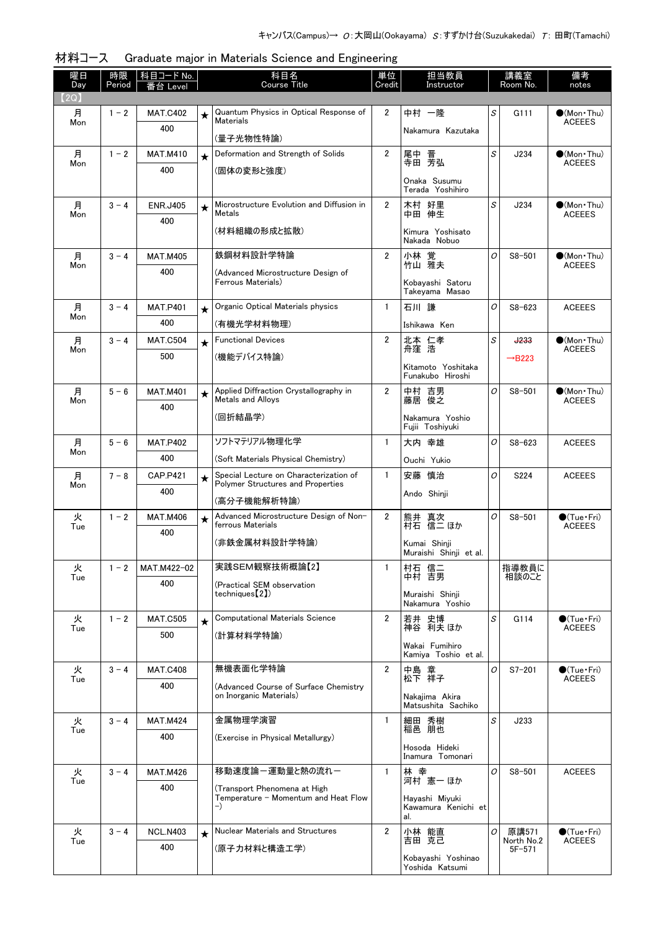| 曜日<br>Day | 時限<br>Period | 科目コード No.<br>番台 Level  |         | 科目名<br><b>Course Title</b>                                                  |                         | 単位<br>担当教員<br>Credit<br>Instructor           |   | 講義室<br>Room No.          | 備考<br>notes                                  |
|-----------|--------------|------------------------|---------|-----------------------------------------------------------------------------|-------------------------|----------------------------------------------|---|--------------------------|----------------------------------------------|
| 【2Q】      |              |                        |         |                                                                             |                         |                                              |   |                          |                                              |
| 月         | $1 - 2$      | <b>MAT.C402</b>        | $\star$ | Quantum Physics in Optical Response of<br><b>Materials</b>                  | $\overline{2}$          | 中村 一隆                                        | S | G111                     | $\bullet$ (Mon Thu)                          |
| Mon       |              | 400                    |         | (量子光物性特論)                                                                   |                         | Nakamura Kazutaka                            |   |                          | <b>ACEEES</b>                                |
| 月<br>Mon  | $1 - 2$      | <b>MAT.M410</b>        | $\star$ | Deformation and Strength of Solids                                          | $\overline{2}$          | 尾中 晋<br>寺田 芳弘                                | S | J234                     | $\bullet$ (Mon · Thu)<br><b>ACEEES</b>       |
|           |              | 400                    |         | (固体の変形と強度)                                                                  |                         | Onaka Susumu<br>Terada Yoshihiro             |   |                          |                                              |
| 月         | $3 - 4$      | <b>ENR.J405</b>        | $\star$ | Microstructure Evolution and Diffusion in                                   | $\overline{2}$<br>木村 好里 |                                              | S | J234                     | $\bullet$ (Mon Thu)                          |
| Mon       |              | 400                    |         | Metals                                                                      |                         | 中田 伸生                                        |   |                          | <b>ACEEES</b>                                |
|           |              |                        |         | (材料組織の形成と拡散)                                                                |                         | Kimura Yoshisato<br>Nakada Nobuo             |   |                          |                                              |
| 月<br>Mon  | $3 - 4$      | <b>MAT.M405</b>        |         | 鉄鋼材料設計学特論                                                                   | $\mathbf{2}$            | 小林 覚<br>竹山 雅夫                                | O | $S8 - 501$               | $\bigcirc$ (Mon Thu)<br><b>ACEEES</b>        |
|           |              | 400                    |         | (Advanced Microstructure Design of<br>Ferrous Materials)                    |                         | Kobayashi Satoru<br>Takeyama Masao           |   |                          |                                              |
| 月         | $3 - 4$      | <b>MAT.P401</b>        | $\star$ | Organic Optical Materials physics                                           | $\mathbf{1}$            | 石川 謙                                         | O | $S8 - 623$               | <b>ACEEES</b>                                |
| Mon       |              | 400                    |         | (有機光学材料物理)                                                                  |                         | Ishikawa Ken                                 |   |                          |                                              |
| 月         | $3 - 4$      | <b>MAT.C504</b>        | $\star$ | <b>Functional Devices</b>                                                   | $\overline{2}$          | 北本 仁孝<br>舟窪 浩                                | S | <b>J233</b>              | $\bullet$ (Mon Thu)<br><b>ACEEES</b>         |
| Mon       |              | 500                    |         | (機能デバイス特論)                                                                  |                         | Kitamoto Yoshitaka                           |   | $\rightarrow$ B223       |                                              |
|           |              |                        |         |                                                                             |                         | Funakubo Hiroshi                             |   |                          |                                              |
| 月<br>Mon  | $5 - 6$      | <b>MAT.M401</b><br>400 | $\star$ | Applied Diffraction Crystallography in<br>Metals and Alloys                 | $\overline{2}$          | 中村 吉男<br>藤居 俊之                               | O | $S8 - 501$               | $\bullet$ (Mon Thu)<br><b>ACEEES</b>         |
|           |              |                        |         | (回折結晶学)                                                                     |                         | Nakamura Yoshio<br>Fujii Toshiyuki           |   |                          |                                              |
| 月<br>Mon  | $5 - 6$      | <b>MAT.P402</b>        |         | ソフトマテリアル物理化学                                                                | $\mathbf{1}$            | 大内 幸雄                                        | O | $S8 - 623$               | <b>ACEEES</b>                                |
|           |              | 400                    |         | (Soft Materials Physical Chemistry)                                         |                         | Ouchi Yukio                                  |   |                          |                                              |
| 月<br>Mon  | $7 - 8$      | <b>CAP.P421</b>        | $\star$ | Special Lecture on Characterization of<br>Polymer Structures and Properties | $\mathbf{1}$            | 安藤 慎治                                        | 0 | S224                     | <b>ACEEES</b>                                |
|           |              | 400                    |         | (高分子機能解析特論)                                                                 |                         | Ando Shinji                                  |   |                          |                                              |
| 火<br>Tue  | $1 - 2$      | <b>MAT.M406</b>        | $\star$ | Advanced Microstructure Design of Non-<br>ferrous Materials                 | $\mathbf{2}$            | 熊井 真次<br>村石 信二 ほか                            | O | $S8 - 501$               | $\bullet$ (Tue•Fri)<br><b>ACEEES</b>         |
|           |              | 400                    |         | (非鉄金属材料設計学特論)                                                               |                         | Kumai Shinii                                 |   |                          |                                              |
|           |              |                        |         |                                                                             |                         | Muraishi Shinji et al.                       |   |                          |                                              |
| 火<br>Tue  | $1 - 2$      | MAT.M422-02            |         | 実践SEM観察技術概論【2】                                                              | 1                       | 村石 信二<br>中村 吉男                               |   | 指導教員に<br>相談のこと           |                                              |
|           |              | 400                    |         | (Practical SEM observation<br>techniques [2])                               |                         | Muraishi Shinii<br>Nakamura Yoshio           |   |                          |                                              |
| 火         | $1 - 2$      | <b>MAT.C505</b>        | $\star$ | <b>Computational Materials Science</b>                                      | 2                       | 若井 史博<br>神谷 利夫 ほか                            | S | G114                     | $\bullet$ (Tue $\cdot$ Fri)<br><b>ACEEES</b> |
| Tue       |              | 500                    |         | (計算材料学特論)                                                                   |                         |                                              |   |                          |                                              |
|           |              |                        |         |                                                                             |                         | Wakai Fumihiro<br>Kamiya Toshio et al.       |   |                          |                                              |
| 火<br>Tue  | $3 - 4$      | <b>MAT.C408</b>        |         | 無機表面化学特論                                                                    | $\overline{2}$          | 中島 章<br>松下 祥子                                | O | $S7 - 201$               | $\bullet$ (Tue•Fri)<br><b>ACEEES</b>         |
|           |              | 400                    |         | (Advanced Course of Surface Chemistry)<br>on Inorganic Materials)           |                         | Nakaiima Akira<br>Matsushita Sachiko         |   |                          |                                              |
| 火         | $3 - 4$      | <b>MAT.M424</b>        |         | 金属物理学演習                                                                     | $\mathbf{1}$            | 細田 秀樹                                        | S | J233                     |                                              |
| Tue       |              | 400                    |         | (Exercise in Physical Metallurgy)                                           |                         | 稲邑 朋也                                        |   |                          |                                              |
|           |              |                        |         |                                                                             |                         | Hosoda Hideki<br>Inamura Tomonari            |   |                          |                                              |
| 火<br>Tue  | $3 - 4$      | <b>MAT.M426</b>        |         | 移動速度論ー運動量と熱の流れー                                                             | $\mathbf{1}$            | 林 幸<br>河村 憲一 ほか                              | O | $S8 - 501$               | <b>ACEEES</b>                                |
|           |              | 400                    |         | (Transport Phenomena at High<br>Temperature - Momentum and Heat Flow<br>$-$ |                         | Hayashi Miyuki<br>Kawamura Kenichi et<br>al. |   |                          |                                              |
| 火         | $3 - 4$      | <b>NCL.N403</b>        | $\star$ | Nuclear Materials and Structures                                            | $\overline{2}$          | 小林 能直<br>吉田 克己                               | 0 | 原講571                    | $\bullet$ (Tue•Fri)                          |
| Tue       |              | 400                    |         | (原子力材料と構造工学)                                                                |                         | Kobayashi Yoshinao<br>Yoshida Katsumi        |   | North No.2<br>$5F - 571$ | <b>ACEEES</b>                                |

材料コース Graduate major in Materials Science and Engineering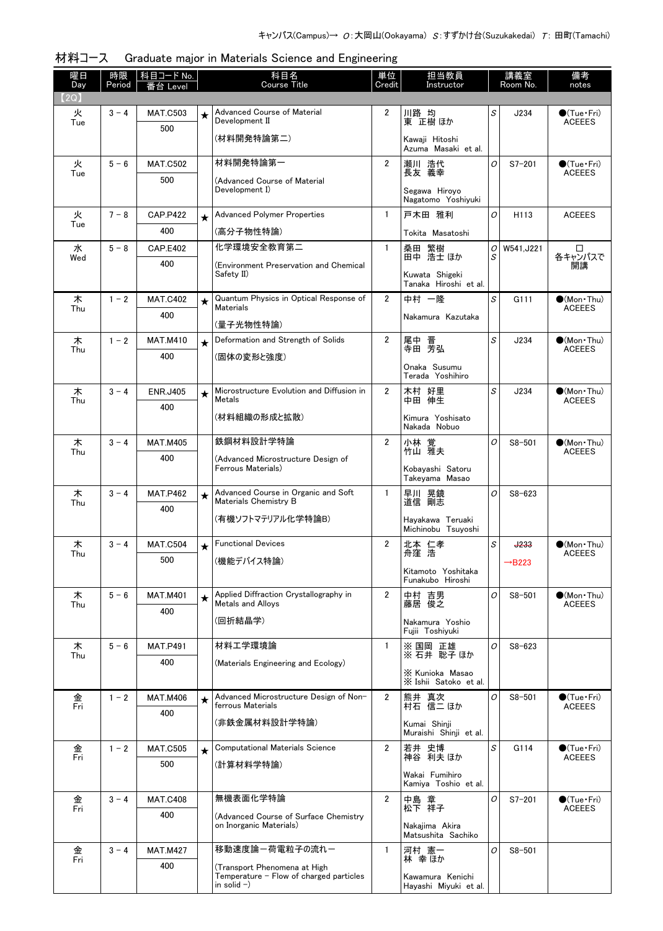| 曜日<br>Day | 時限      | │科目コード No.             |            | 科目名<br>Course Title                                                     |                | 単位<br>担当教員<br>Instructor                |        | 講義室<br>Room No. | 備考                                      |
|-----------|---------|------------------------|------------|-------------------------------------------------------------------------|----------------|-----------------------------------------|--------|-----------------|-----------------------------------------|
| (2Q)      | Period  | 番台 Level               |            |                                                                         | Credit         |                                         |        |                 | notes                                   |
| 火         | $3 - 4$ | <b>MAT.C503</b>        | $\star$    | Advanced Course of Material                                             | $\overline{2}$ | 川路 均                                    | S      | J234            | $\bullet$ (Tue•Fri)                     |
| Tue       |         | 500                    |            | Development II<br>(材料開発特論第二)                                            |                | 東 正樹 ほか                                 |        |                 | <b>ACEEES</b>                           |
|           |         |                        |            |                                                                         |                | Kawaji Hitoshi<br>Azuma Masaki et al.   |        |                 |                                         |
| 火<br>Tue  | $5 - 6$ | <b>MAT.C502</b>        |            | 材料開発特論第一                                                                | $\overline{2}$ | 瀬川 浩代<br>長友 義幸                          | O      | $S7 - 201$      | $\bigcirc$ (Tue · Fri)<br><b>ACEEES</b> |
|           |         | 500                    |            | (Advanced Course of Material<br>Development I)                          |                | Segawa Hiroyo                           |        |                 |                                         |
|           |         |                        |            |                                                                         |                | Nagatomo Yoshivuki                      |        |                 |                                         |
| 火<br>Tue  | $7 - 8$ | <b>CAP.P422</b>        | $\star$    | <b>Advanced Polymer Properties</b>                                      | $\mathbf{1}$   | 戸木田 雅利                                  | O      | H113            | <b>ACEEES</b>                           |
|           |         | 400                    |            | (高分子物性特論)                                                               |                | Tokita Masatoshi                        |        |                 |                                         |
| 水<br>Wed  | $5 - 8$ | <b>CAP.E402</b>        |            | 化学環境安全教育第二                                                              | $\mathbf{1}$   | 桑田 繁樹<br>田中 浩士ほか                        | 0<br>S | W541, J221      | ◻<br>各キャンパスで                            |
|           |         | 400                    |            | (Environment Preservation and Chemical<br>Safety II)                    |                | Kuwata Shigeki<br>Tanaka Hiroshi et al. |        |                 | 開講                                      |
| 木<br>Thu  | $1 - 2$ | <b>MAT.C402</b>        | $\star$    | Quantum Physics in Optical Response of<br><b>Materials</b>              | $\overline{2}$ | 中村 一隆                                   | S      | G111            | $(Mon\cdot Thu)$<br><b>ACEEES</b>       |
|           |         | 400                    |            | (量子光物性特論)                                                               |                | Nakamura Kazutaka                       |        |                 |                                         |
| 木         | $1 - 2$ | <b>MAT.M410</b>        | $\star$    | Deformation and Strength of Solids                                      | $\overline{2}$ |                                         | S      | J234            | $\bullet$ (Mon · Thu)                   |
| Thu       |         | 400                    |            | (固体の変形と強度)                                                              |                | 尾中 晋<br>寺田 芳弘                           |        |                 | <b>ACEEES</b>                           |
|           |         |                        |            |                                                                         |                | Onaka Susumu<br>Terada Yoshihiro        |        |                 |                                         |
| 木<br>Thu  | $3 - 4$ | <b>ENR.J405</b>        | $\star$    | Microstructure Evolution and Diffusion in<br>Metals                     | $\overline{2}$ | 木村 好里<br>中田 伸生                          | S      | J234            | $\bullet$ (Mon Thu)<br><b>ACEEES</b>    |
|           |         | 400                    |            | (材料組織の形成と拡散)                                                            |                | Kimura Yoshisato                        |        |                 |                                         |
|           |         |                        |            |                                                                         |                | Nakada Nobuo                            |        |                 |                                         |
| 木<br>Thu  | $3 - 4$ | <b>MAT.M405</b>        |            | 鉄鋼材料設計学特論                                                               | $\overline{2}$ | 小林 覚<br>竹山 雅夫                           | O      | $S8 - 501$      | $\bullet$ (Mon Thu)<br><b>ACEEES</b>    |
|           |         | 400                    |            | (Advanced Microstructure Design of<br>Ferrous Materials)                |                | Kobayashi Satoru                        |        |                 |                                         |
|           |         |                        |            |                                                                         |                | Takeyama Masao                          |        |                 |                                         |
| 木<br>Thu  | $3 - 4$ | <b>MAT.P462</b><br>400 | $\bigstar$ | Advanced Course in Organic and Soft<br>Materials Chemistry B            | $\mathbf{1}$   | 早川 晃鏡<br>道信 剛志                          | O      | $S8 - 623$      |                                         |
|           |         |                        |            | (有機ソフトマテリアル化学特論B)                                                       |                | Havakawa Teruaki                        |        |                 |                                         |
| 木         | $3 - 4$ | <b>MAT.C504</b>        | $\star$    | <b>Functional Devices</b>                                               | $\overline{2}$ | Michinobu Tsuyoshi<br>北本 仁孝             | S      | <b>J233</b>     | $\bullet$ (Mon•Thu)                     |
| Thu       |         | 500                    |            | (機能デバイス特論)                                                              |                | 舟窪 浩                                    |        | <b>+B223</b>    | <b>ACEEES</b>                           |
|           |         |                        |            |                                                                         |                | Kitamoto Yoshitaka<br>Funakubo Hiroshi  |        |                 |                                         |
| 木<br>Thu  | $5 - 6$ | <b>MAT.M401</b>        | $\star$    | Applied Diffraction Crystallography in<br>Metals and Alloys             | $\overline{2}$ | 中村 吉男<br>藤居 俊之                          | O      | $S8 - 501$      | $\bullet$ (Mon Thu)<br><b>ACEEES</b>    |
|           |         | 400                    |            | (回折結晶学)                                                                 |                | Nakamura Yoshio                         |        |                 |                                         |
|           |         |                        |            |                                                                         |                | Fujii Toshiyuki                         |        |                 |                                         |
| 木<br>Thu  | $5 - 6$ | <b>MAT.P491</b>        |            | 材料工学環境論                                                                 | 1              | ※ 国岡 正雄<br>※ 石井 聡子 ほか                   | 0      | $S8 - 623$      |                                         |
|           |         | 400                    |            | (Materials Engineering and Ecology)                                     |                | X Kunioka Masao                         |        |                 |                                         |
|           |         |                        |            |                                                                         |                | X Ishii Satoko et al.                   |        |                 |                                         |
| 金<br>Fri  | $1 - 2$ | <b>MAT.M406</b><br>400 | $\star$    | Advanced Microstructure Design of Non-<br>ferrous Materials             | $\overline{2}$ | 熊井 真次<br>村石 信二 ほか                       | O      | $S8 - 501$      | $\bullet$ (Tue · Fri)<br><b>ACEEES</b>  |
|           |         |                        |            | (非鉄金属材料設計学特論)                                                           |                | Kumai Shinji<br>Muraishi Shinji et al.  |        |                 |                                         |
| 金         | $1 - 2$ | <b>MAT.C505</b>        | $\star$    | <b>Computational Materials Science</b>                                  | $\overline{2}$ | 若井 史博<br>神谷 利夫 ほか                       | S      | G114            | $\bullet$ (Tue•Fri)                     |
| Fri       |         | 500                    |            | (計算材料学特論)                                                               |                |                                         |        |                 | <b>ACEEES</b>                           |
|           |         |                        |            |                                                                         |                | Wakai Fumihiro<br>Kamiya Toshio et al.  |        |                 |                                         |
| 金<br>Fri  | $3 - 4$ | <b>MAT.C408</b>        |            | 無機表面化学特論                                                                | $\overline{2}$ | 中島 章<br>松下 祥子                           | O      | $S7 - 201$      | $\bullet$ (Tue•Fri)<br><b>ACEEES</b>    |
|           |         | 400                    |            | (Advanced Course of Surface Chemistry<br>on Inorganic Materials)        |                | Nakajima Akira                          |        |                 |                                         |
|           |         |                        |            |                                                                         |                | Matsushita Sachiko                      |        |                 |                                         |
| 金<br>Fri  | $3 - 4$ | <b>MAT.M427</b>        |            | 移動速度論ー荷電粒子の流れー                                                          | $\mathbf{1}$   | 河村 憲一<br>林 幸 ほか                         | O      | $S8 - 501$      |                                         |
|           |         | 400                    |            | (Transport Phenomena at High<br>Temperature - Flow of charged particles |                | Kawamura Kenichi                        |        |                 |                                         |
|           |         |                        |            | in solid $-$ )                                                          |                | Hayashi Miyuki et al.                   |        |                 |                                         |

材料コース Graduate major in Materials Science and Engineering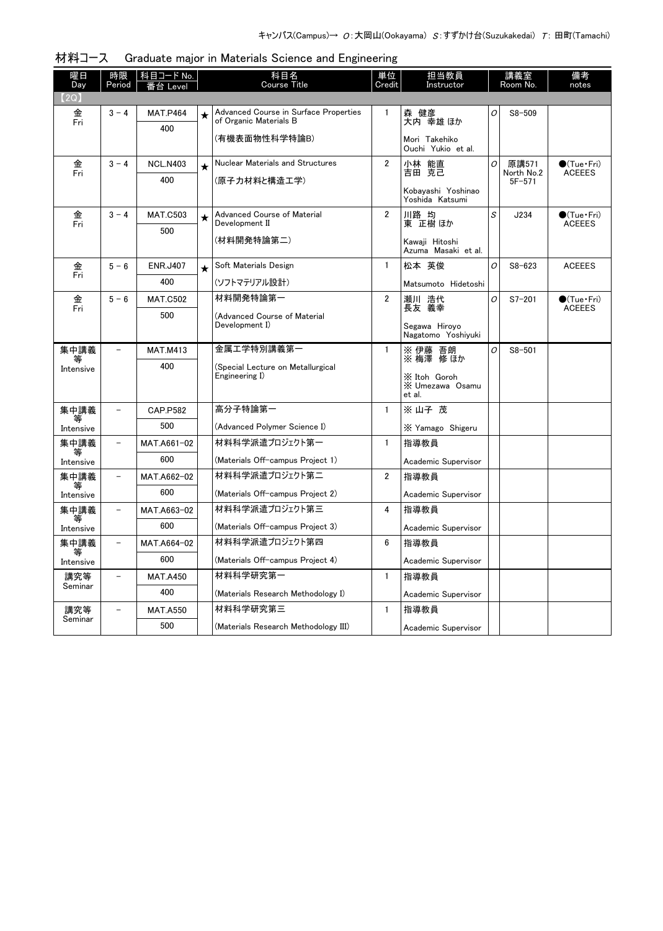| 曜日<br>Day      | 時限<br>Period             | 科目コード No.<br>≒∕ Hevel |         | 科目名<br><b>Course Title</b>                                      | 単位<br>Credit   | 担当教員<br>Instructor                        | 講義室<br>Room No. |                     | 備考<br>notes                            |
|----------------|--------------------------|-----------------------|---------|-----------------------------------------------------------------|----------------|-------------------------------------------|-----------------|---------------------|----------------------------------------|
| .2Q)           |                          |                       |         |                                                                 |                |                                           |                 |                     |                                        |
| 金<br>Fri       | $3 - 4$                  | <b>MAT.P464</b>       | $\star$ | Advanced Course in Surface Properties<br>of Organic Materials B | 1              | 森 健彦<br>大内 幸雄 ほか                          | 0               | $S8 - 509$          |                                        |
|                |                          | 400                   |         | (有機表面物性科学特論B)                                                   |                | Mori Takehiko<br>Ouchi Yukio et al.       |                 |                     |                                        |
| 金<br>Fri       | $3 - 4$                  | <b>NCL.N403</b>       | $\star$ | Nuclear Materials and Structures                                | $\overline{2}$ | 小林 能直<br>吉田 克己                            | 0               | 原講571<br>North No.2 | $\bullet$ (Tue · Fri)<br><b>ACEEES</b> |
|                |                          | 400                   |         | (原子力材料と構造工学)                                                    |                | Kobayashi Yoshinao<br>Yoshida Katsumi     |                 | $5F - 571$          |                                        |
| 金<br>Fri       | $3 - 4$                  | <b>MAT.C503</b>       | $\star$ | Advanced Course of Material<br>Development II                   | $\overline{2}$ | 川路 均<br>東 正樹 ほか                           | S               | J234                | $\bullet$ (Tue · Fri)<br><b>ACEEES</b> |
|                |                          | 500                   |         | (材料開発特論第二)                                                      |                | Kawaji Hitoshi<br>Azuma Masaki et al.     |                 |                     |                                        |
| 金              | $5 - 6$                  | <b>ENR.J407</b>       | $\star$ | Soft Materials Design                                           | $\mathbf{1}$   | 松本 英俊                                     | 0               | $S8 - 623$          | <b>ACEEES</b>                          |
| Fri            |                          | 400                   |         | (ソフトマテリアル設計)                                                    |                | Matsumoto Hidetoshi                       |                 |                     |                                        |
| 金<br>Fri       | $5 - 6$                  | <b>MAT.C502</b>       |         | 材料開発特論第一                                                        | $\overline{2}$ | 瀬川 浩代<br>長友 義幸                            | 0               | $S7 - 201$          | $\bullet$ (Tue · Fri)<br><b>ACEEES</b> |
|                |                          | 500                   |         | (Advanced Course of Material<br>Development I)                  |                | Segawa Hiroyo<br>Nagatomo Yoshiyuki       |                 |                     |                                        |
| 集中講義           |                          | <b>MAT.M413</b>       |         | 金属工学特別講義第一                                                      | $\mathbf{1}$   | ※ 伊藤 吾朗<br>※ 梅澤 修ほか                       | 0               | $S8 - 501$          |                                        |
| Intensive      |                          | 400                   |         | (Special Lecture on Metallurgical<br>Engineering I)             |                | X Itoh Goroh<br>X Umezawa Osamu<br>et al. |                 |                     |                                        |
| 集中講義           |                          | <b>CAP.P582</b>       |         | 高分子特論第一                                                         | 1              | ※山子 茂                                     |                 |                     |                                        |
| Intensive      |                          | 500                   |         | (Advanced Polymer Science I)                                    |                | X Yamago Shigeru                          |                 |                     |                                        |
| 集中講義           | $\qquad \qquad -$        | MAT.A661-02           |         | 材料科学派遣プロジェクト第一                                                  | $\mathbf{1}$   | 指導教員                                      |                 |                     |                                        |
| Intensive      |                          | 600                   |         | (Materials Off-campus Project 1)                                |                | Academic Supervisor                       |                 |                     |                                        |
| 集中講義<br>等      |                          | MAT.A662-02           |         | 材料科学派遣プロジェクト第二                                                  | $\overline{2}$ | 指導教員                                      |                 |                     |                                        |
| Intensive      |                          | 600                   |         | (Materials Off-campus Project 2)                                |                | Academic Supervisor                       |                 |                     |                                        |
| 集中講義<br>等      | $\overline{\phantom{0}}$ | MAT.A663-02           |         | 材料科学派遣プロジェクト第三                                                  | 4              | 指導教員                                      |                 |                     |                                        |
| Intensive      |                          | 600                   |         | (Materials Off-campus Project 3)                                |                | Academic Supervisor                       |                 |                     |                                        |
| 集中講義<br>等      | $\overline{\phantom{0}}$ | MAT.A664-02           |         | 材料科学派遣プロジェクト第四                                                  | 6              | 指導教員                                      |                 |                     |                                        |
| Intensive      |                          | 600                   |         | (Materials Off-campus Project 4)                                |                | Academic Supervisor                       |                 |                     |                                        |
| 講究等<br>Seminar | $\overline{a}$           | <b>MAT.A450</b>       |         | 材料科学研究第一                                                        | $\mathbf{1}$   | 指導教員                                      |                 |                     |                                        |
|                |                          | 400                   |         | (Materials Research Methodology I)                              |                | Academic Supervisor                       |                 |                     |                                        |
| 講究等<br>Seminar |                          | <b>MAT.A550</b>       |         | 材料科学研究第三                                                        | $\mathbf{1}$   | 指導教員                                      |                 |                     |                                        |
|                |                          | 500                   |         | (Materials Research Methodology III)                            |                | Academic Supervisor                       |                 |                     |                                        |

| 材料コース Graduate major in Materials Science and Engineering |  |  |  |  |
|-----------------------------------------------------------|--|--|--|--|
|                                                           |  |  |  |  |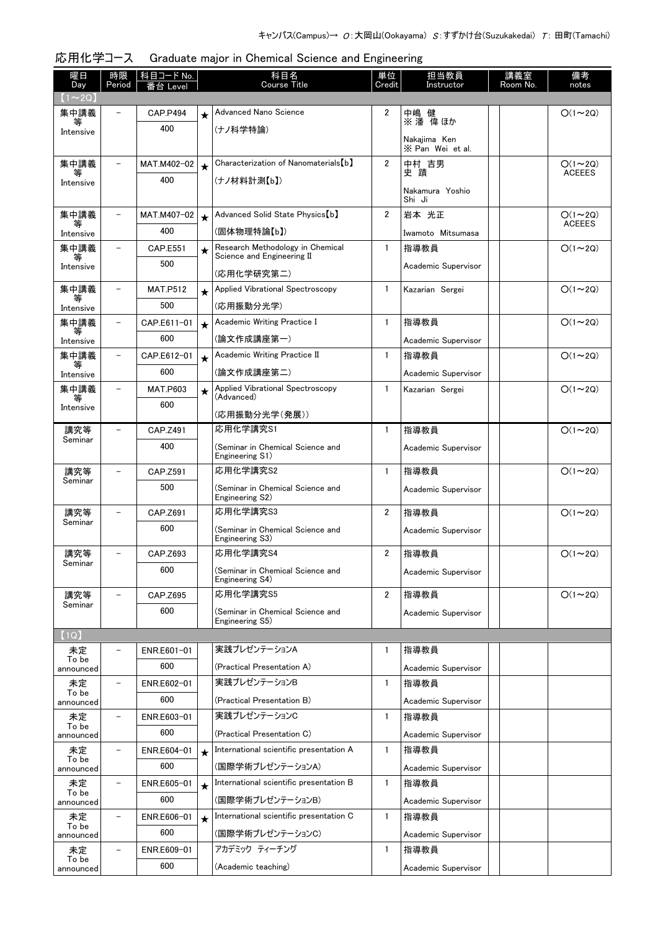| 曜日<br>Day          | 時限<br>Period             | 科目コード No.<br>台 I evel |         | 科目名<br><b>Course Title</b>                          | 単位<br>Credit   | 担当教員<br>Instructor               | 講義室<br>Room No. | 備考<br>notes   |
|--------------------|--------------------------|-----------------------|---------|-----------------------------------------------------|----------------|----------------------------------|-----------------|---------------|
| $(1 \sim 2Q)$      |                          |                       |         |                                                     |                |                                  |                 |               |
| 集中講義               | $\equiv$                 | <b>CAP.P494</b>       | $\star$ | Advanced Nano Science                               | $\overline{2}$ | 中嶋 健                             |                 | $O(1\sim 2Q)$ |
| 等<br>Intensive     |                          | 400                   |         | (ナノ科学特論)                                            |                | ※ 潘 偉 ほか                         |                 |               |
|                    |                          |                       |         |                                                     |                | Nakajima Ken<br>X Pan Wei et al. |                 |               |
| 集中講義               | $\overline{\phantom{0}}$ | MAT.M402-02           | $\star$ | Characterization of Nanomaterials [b]               | $\overline{2}$ | 中村 吉男                            |                 | $O(1\sim 2Q)$ |
| 等<br>Intensive     |                          | 400                   |         | (ナノ材料計測【b】)                                         |                | 史 蹟                              |                 | <b>ACEEES</b> |
|                    |                          |                       |         |                                                     |                | Nakamura Yoshio<br>Shi Ji        |                 |               |
| 集中講義               |                          | MAT.M407-02           | $\star$ | Advanced Solid State Physics [b]                    | $\overline{2}$ | 岩本 光正                            |                 | $O(1\sim 2Q)$ |
| Intensive          |                          | 400                   |         | (固体物理特論【b】)                                         |                | Iwamoto Mitsumasa                |                 | <b>ACEEES</b> |
| 集中講義               |                          | CAP.E551              | $\star$ | Research Methodology in Chemical                    | $\mathbf{1}$   | 指導教員                             |                 | $O(1\sim 2Q)$ |
| 等<br>Intensive     |                          | 500                   |         | Science and Engineering II<br>(応用化学研究第二)            |                | Academic Supervisor              |                 |               |
| 集中講義               |                          | <b>MAT.P512</b>       |         | Applied Vibrational Spectroscopy                    | $\mathbf{1}$   | Kazarian Sergei                  |                 | $O(1\sim 2Q)$ |
| 等<br>Intensive     |                          | 500                   | $\star$ | (応用振動分光学)                                           |                |                                  |                 |               |
| 集中講義               |                          | CAP.E611-01           | $\star$ | Academic Writing Practice I                         | $\mathbf{1}$   | 指導教員                             |                 | $O(1\sim 2Q)$ |
| Intensive          |                          | 600                   |         | (論文作成講座第一)                                          |                | Academic Supervisor              |                 |               |
| 集中講義               | $\overline{\phantom{a}}$ | CAP.E612-01           | $\star$ | Academic Writing Practice II                        | $\mathbf{1}$   | 指導教員                             |                 | $O(1\sim 2Q)$ |
| 等<br>Intensive     |                          | 600                   |         | (論文作成講座第二)                                          |                | Academic Supervisor              |                 |               |
| 集中講義               |                          | <b>MAT.P603</b>       | $\star$ | Applied Vibrational Spectroscopy                    | $\mathbf{1}$   | Kazarian Sergei                  |                 | $O(1\sim 2Q)$ |
| 等<br>Intensive     |                          | 600                   |         | (Advanced)                                          |                |                                  |                 |               |
|                    |                          |                       |         | (応用振動分光学(発展))                                       |                |                                  |                 |               |
| 講究等<br>Seminar     |                          | CAP.Z491<br>400       |         | 応用化学講究S1                                            | $\mathbf{1}$   | 指導教員                             |                 | $O(1\sim 2Q)$ |
|                    |                          |                       |         | (Seminar in Chemical Science and<br>Engineering S1) |                | Academic Supervisor              |                 |               |
| 講究等<br>Seminar     |                          | CAP.Z591              |         | 応用化学講究S2                                            | $\mathbf{1}$   | 指導教員                             |                 | $O(1\sim 2Q)$ |
|                    |                          | 500                   |         | (Seminar in Chemical Science and<br>Engineering S2) |                | Academic Supervisor              |                 |               |
| 講究等                |                          | CAP.Z691              |         | 応用化学講究S3                                            | $\overline{2}$ | 指導教員                             |                 | $O(1\sim 2Q)$ |
| Seminar            |                          | 600                   |         | (Seminar in Chemical Science and                    |                | Academic Supervisor              |                 |               |
|                    |                          |                       |         | Engineering S3)<br>応用化学講究S4                         |                |                                  |                 |               |
| 講究等<br>Seminar     |                          | CAP.Z693<br>600       |         |                                                     | $\overline{2}$ | 指導教員                             |                 | $O(1\sim 2Q)$ |
|                    |                          |                       |         | (Seminar in Chemical Science and<br>Engineering S4) |                | Academic Supervisor              |                 |               |
| 講究等<br>Seminar     |                          | CAP.Z695              |         | 応用化学講究S5                                            | $\overline{2}$ | 指導教員                             |                 | $O(1\sim 2Q)$ |
|                    |                          | 600                   |         | (Seminar in Chemical Science and<br>Engineering S5) |                | Academic Supervisor              |                 |               |
| (1Q)               |                          |                       |         |                                                     |                |                                  |                 |               |
| 未定                 | $\overline{\phantom{0}}$ | ENR.E601-01           |         | 実践プレゼンテーションA                                        | $\mathbf{1}$   | 指導教員                             |                 |               |
| To be<br>announced |                          | 600                   |         | (Practical Presentation A)                          |                | Academic Supervisor              |                 |               |
| 未定                 | $\overline{\phantom{a}}$ | ENR.E602-01           |         | 実践プレゼンテーションB                                        | $\mathbf{1}$   | 指導教員                             |                 |               |
| To be<br>announced |                          | 600                   |         | (Practical Presentation B)                          |                | Academic Supervisor              |                 |               |
| 未定                 | $\overline{\phantom{a}}$ | ENR.E603-01           |         | 実践プレゼンテーションC                                        | $\mathbf{1}$   | 指導教員                             |                 |               |
| To be<br>announced |                          | 600                   |         | (Practical Presentation C)                          |                | Academic Supervisor              |                 |               |
| 未定<br>To be        | $\qquad \qquad -$        | ENR.E604-01           | $\star$ | International scientific presentation A             | $\mathbf{1}$   | 指導教員                             |                 |               |
| announced          |                          | 600                   |         | (国際学術プレゼンテーションA)                                    |                | Academic Supervisor              |                 |               |
| 未定<br>To be        | $\overline{\phantom{a}}$ | ENR.E605-01           | $\star$ | International scientific presentation B             | $\mathbf{1}$   | 指導教員                             |                 |               |
| announced          |                          | 600                   |         | (国際学術プレゼンテーションB)                                    |                | Academic Supervisor              |                 |               |
| 未定<br>To be        | $\qquad \qquad -$        | ENR.E606-01           | $\star$ | International scientific presentation C             | $\mathbf{1}$   | 指導教員                             |                 |               |
| announced          |                          | 600                   |         | (国際学術プレゼンテーションC)                                    |                | Academic Supervisor              |                 |               |
| 未定<br>To be        | $\overline{\phantom{m}}$ | ENR.E609-01           |         | アカデミック ティーチング                                       | $\mathbf{1}$   | 指導教員                             |                 |               |
| announced          |                          | 600                   |         | (Academic teaching)                                 |                | Academic Supervisor              |                 |               |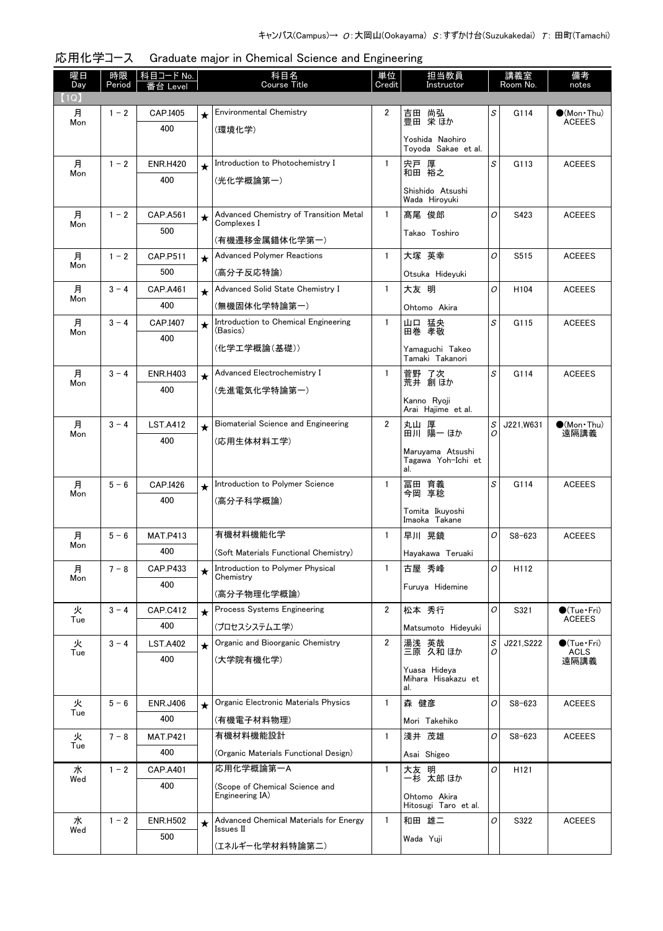| 曜日<br>Day | 時限<br>Period | 科目コード No.<br>台 Level |            | 科目名<br><b>Course Title</b>                            | 単位<br>Credit   | 担当教員<br>Instructor                            |   | 講義室<br>Room No.  | 備考<br>notes                          |
|-----------|--------------|----------------------|------------|-------------------------------------------------------|----------------|-----------------------------------------------|---|------------------|--------------------------------------|
| (1Q)      |              |                      |            |                                                       |                |                                               |   |                  |                                      |
| 月<br>Mon  | $1 - 2$      | CAP.I405             | $\star$    | <b>Environmental Chemistry</b>                        | 2              | 尚弘<br>吉田<br>豊田 栄ほか                            | S | G114             | $\bullet$ (Mon Thu)<br><b>ACEEES</b> |
|           |              | 400                  |            | (環境化学)                                                |                | Yoshida Naohiro                               |   |                  |                                      |
|           |              |                      |            |                                                       |                | Tovoda Sakae et al.                           |   |                  |                                      |
| 月<br>Mon  | $1 - 2$      | <b>ENR.H420</b>      | $\star$    | Introduction to Photochemistry I                      | 1              | 宍戸 厚<br>和田 裕之                                 | S | G113             | <b>ACEEES</b>                        |
|           |              | 400                  |            | (光化学概論第一)                                             |                | Shishido Atsushi                              |   |                  |                                      |
|           |              |                      |            |                                                       |                | Wada Hiroyuki                                 |   |                  |                                      |
| 月<br>Mon  | $1 - 2$      | CAP.A561             | $\star$    | Advanced Chemistry of Transition Metal<br>Complexes I | $\mathbf{1}$   | 髙尾 俊郎                                         | O | S423             | <b>ACEEES</b>                        |
|           |              | 500                  |            | (有機遷移金属錯体化学第一)                                        |                | Takao Toshiro                                 |   |                  |                                      |
| 月         | $1 - 2$      | CAP.P511             | $\star$    | <b>Advanced Polymer Reactions</b>                     | 1              | 大塚 英幸                                         | 0 | S515             | <b>ACEEES</b>                        |
| Mon       |              | 500                  |            | (高分子反応特論)                                             |                | Otsuka Hideyuki                               |   |                  |                                      |
| 月         | $3 - 4$      | <b>CAP.A461</b>      | $\star$    | Advanced Solid State Chemistry I                      | 1              | 大友 明                                          | O | H <sub>104</sub> | <b>ACEEES</b>                        |
| Mon       |              | 400                  |            | (無機固体化学特論第一)                                          |                | Ohtomo Akira                                  |   |                  |                                      |
| 月         | $3 - 4$      | CAP.I407             | $\bigstar$ | Introduction to Chemical Engineering                  | 1              | 山口 猛央                                         | S | G115             | <b>ACEEES</b>                        |
| Mon       |              | 400                  |            | (Basics)                                              |                | 田巻 孝敬                                         |   |                  |                                      |
|           |              |                      |            | (化学工学概論(基礎))                                          |                | Yamaguchi Takeo<br>Tamaki Takanori            |   |                  |                                      |
| 月         | $3 - 4$      | <b>ENR.H403</b>      | $\star$    | Advanced Electrochemistry I                           | 1              | 菅野 了次                                         | S | G114             | <b>ACEEES</b>                        |
| Mon       |              | 400                  |            | (先進電気化学特論第一)                                          |                | 荒井 創ほか                                        |   |                  |                                      |
|           |              |                      |            |                                                       |                | Kanno Ryoji<br>Arai Hajime et al.             |   |                  |                                      |
| 月         | $3 - 4$      | <b>LST.A412</b>      | $\star$    | Biomaterial Science and Engineering                   | $\overline{2}$ | 丸山 厚<br><b>田川 陽一ほか</b>                        | S | J221,W631        | $\bullet$ (Mon•Thu)<br>遠隔講義          |
| Mon       |              | 400                  |            | (応用生体材料工学)                                            |                |                                               | Ο |                  |                                      |
|           |              |                      |            |                                                       |                | Maruyama Atsushi<br>Tagawa Yoh-Ichi et<br>al. |   |                  |                                      |
| 月         | $5 - 6$      | CAP.I426             | $\star$    | Introduction to Polymer Science                       | $\mathbf{1}$   | 冨田 育義<br>今岡 享稔                                | S | G114             | <b>ACEEES</b>                        |
| Mon       |              | 400                  |            | (高分子科学概論)                                             |                |                                               |   |                  |                                      |
|           |              |                      |            |                                                       |                | Tomita Ikuyoshi<br>Imaoka Takane              |   |                  |                                      |
| 月         | $5 - 6$      | <b>MAT.P413</b>      |            | 有機材料機能化学                                              | $\mathbf{1}$   | 早川 晃鏡                                         | O | $S8 - 623$       | <b>ACEEES</b>                        |
| Mon       |              | 400                  |            | (Soft Materials Functional Chemistry)                 |                | Hayakawa Teruaki                              |   |                  |                                      |
| 月         | $7 - 8$      | CAP.P433             | $\star$    | Introduction to Polymer Physical<br>Chemistry         | 1              | 古屋 秀峰                                         | 0 | H112             |                                      |
| Mon       |              | 400                  |            | (高分子物理化学概論)                                           |                | Furuya Hidemine                               |   |                  |                                      |
| 火         | $3 - 4$      | <b>CAP.C412</b>      | $\star$    | Process Systems Engineering                           | $\overline{2}$ | 松本 秀行                                         | 0 | S321             | $\bigcirc$ (Tue·Fri)                 |
| Tue       |              | 400                  |            | (プロセスシステム工学)                                          |                | Matsumoto Hideyuki                            |   |                  | <b>ACEEES</b>                        |
| 火         | $3 - 4$      | <b>LST.A402</b>      | $\star$    | Organic and Bioorganic Chemistry                      | 2              | 湯浅                                            | S | J221, S222       | $\bullet$ (Tue•Fri)                  |
| Tue       |              | 400                  |            | (大学院有機化学)                                             |                | 湯浅 英哉<br>三原 久和ほか                              |   |                  | <b>ACLS</b><br>遠隔講義                  |
|           |              |                      |            |                                                       |                | Yuasa Hideya<br>Mihara Hisakazu et            |   |                  |                                      |
|           |              |                      |            |                                                       |                | al.                                           |   |                  |                                      |
| 火<br>Tue  | $5 - 6$      | <b>ENR.J406</b>      | $\star$    | Organic Electronic Materials Physics                  | $\mathbf{1}$   | 森 健彦                                          | 0 | $S8 - 623$       | <b>ACEEES</b>                        |
|           |              | 400                  |            | (有機電子材料物理)                                            |                | Mori Takehiko                                 |   |                  |                                      |
| 火<br>Tue  | $7 - 8$      | <b>MAT.P421</b>      |            | 有機材料機能設計                                              | 1              | 淺井 茂雄                                         | 0 | $S8 - 623$       | <b>ACEEES</b>                        |
|           |              | 400                  |            | (Organic Materials Functional Design)                 |                | Asai Shigeo                                   |   |                  |                                      |
| 水<br>Wed  | $1 - 2$      | <b>CAP.A401</b>      |            | 応用化学概論第一A                                             | $\mathbf{1}$   | 大友 明<br>一杉 太郎ほか                               | 0 | H121             |                                      |
|           |              | 400                  |            | (Scope of Chemical Science and<br>Engineering IA)     |                | Ohtomo Akira                                  |   |                  |                                      |
|           |              |                      |            |                                                       |                | Hitosugi Taro et al.                          |   |                  |                                      |
| 水<br>Wed  | $1 - 2$      | <b>ENR.H502</b>      | $\star$    | Advanced Chemical Materials for Energy<br>Issues II   | $\mathbf{1}$   | 和田 雄二                                         | 0 | S322             | <b>ACEEES</b>                        |
|           |              | 500                  |            | (エネルギー化学材料特論第二)                                       |                | Wada Yuji                                     |   |                  |                                      |

| 応用化学コース ( | Graduate major in Chemical Science and Engineering |  |
|-----------|----------------------------------------------------|--|
|           |                                                    |  |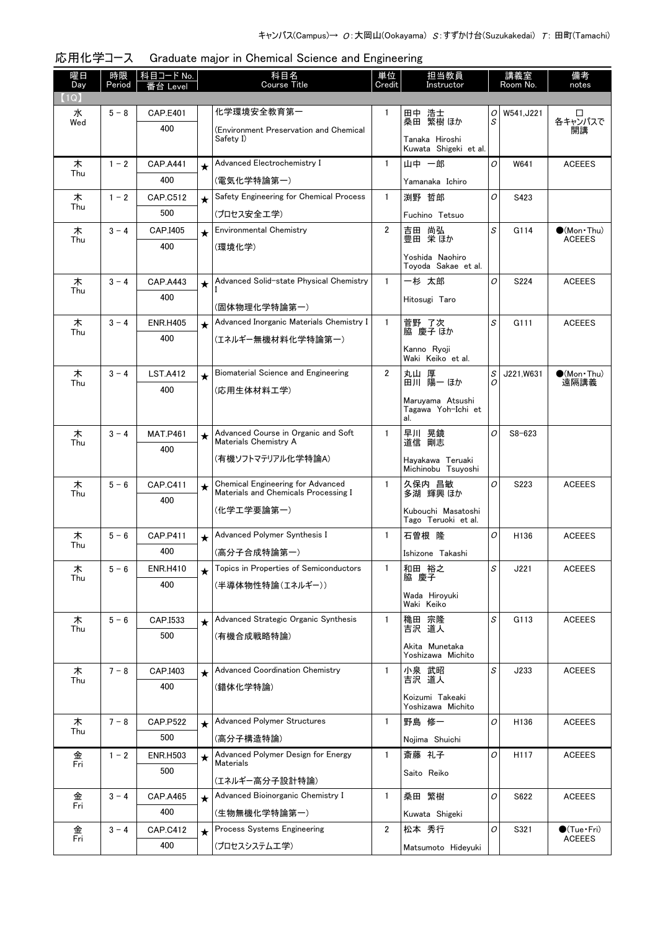| 曜日<br>Day | 時限<br>Period | 科目コード No.<br>番台 Level  |         | 科目名<br>Course Title                                                              | 単位<br>Credit   | 担当教員<br>Instructor                      |                                                    | 講義室<br>Room No. | 備考<br>notes                             |
|-----------|--------------|------------------------|---------|----------------------------------------------------------------------------------|----------------|-----------------------------------------|----------------------------------------------------|-----------------|-----------------------------------------|
| (1Q)      |              |                        |         |                                                                                  |                |                                         |                                                    |                 |                                         |
| 水         | $5 - 8$      | <b>CAP.E401</b>        |         | 化学環境安全教育第一                                                                       | 1              | 田中 浩士<br>桑田 繁樹 ほか                       | 0                                                  | W541, J221      | □                                       |
| Wed       |              | 400                    |         | (Environment Preservation and Chemical                                           |                |                                         | S                                                  |                 | 各キャンパスで<br>開講                           |
|           |              |                        |         | Safety I)                                                                        |                | Tanaka Hiroshi<br>Kuwata Shigeki et al. |                                                    |                 |                                         |
| 木<br>Thu  | $1 - 2$      | <b>CAP.A441</b>        | $\star$ | Advanced Electrochemistry I                                                      | $\mathbf{1}$   | 山中 一郎                                   | O                                                  | W641            | <b>ACEEES</b>                           |
|           |              | 400                    |         | (電気化学特論第一)                                                                       |                | Yamanaka Ichiro                         |                                                    |                 |                                         |
| 木<br>Thu  | $1 - 2$      | CAP.C512               | $\star$ | Safety Engineering for Chemical Process                                          | $\mathbf{1}$   | 渕野 哲郎                                   | O                                                  | S423            |                                         |
|           |              | 500                    |         | (プロセス安全工学)                                                                       |                | Fuchino Tetsuo                          |                                                    |                 |                                         |
| 木<br>Thu  | $3 - 4$      | CAP.I405               | $\star$ | <b>Environmental Chemistry</b>                                                   | $\overline{2}$ | 吉田 尚弘<br>豊田 栄ほか                         | S                                                  | G114            | $\bullet$ (Mon Thu)<br><b>ACEEES</b>    |
|           |              | 400                    |         | (環境化学)                                                                           |                | Yoshida Naohiro                         |                                                    |                 |                                         |
|           |              |                        |         |                                                                                  |                | Toyoda Sakae et al.                     |                                                    |                 |                                         |
| 木<br>Thu  | $3 - 4$      | <b>CAP.A443</b>        | $\star$ | Advanced Solid-state Physical Chemistry                                          | $\mathbf{1}$   | 一杉 太郎                                   | O                                                  | S224            | <b>ACEEES</b>                           |
|           |              | 400                    |         | (固体物理化学特論第一)                                                                     |                | Hitosugi Taro                           |                                                    |                 |                                         |
| 木         | $3 - 4$      | <b>ENR.H405</b>        | $\star$ | Advanced Inorganic Materials Chemistry I                                         | $\mathbf{1}$   | 菅野 了次                                   | $\mathcal{S}% _{CS}^{(n)}:=\mathcal{S}_{CS}^{(n)}$ | G111            | <b>ACEEES</b>                           |
| Thu       |              | 400                    |         | (エネルギー無機材料化学特論第一)                                                                |                | 脇 慶子 ほか                                 |                                                    |                 |                                         |
|           |              |                        |         |                                                                                  |                | Kanno Rvoii<br>Waki Keiko et al.        |                                                    |                 |                                         |
| 木         | $3 - 4$      | <b>LST.A412</b>        | $\star$ | Biomaterial Science and Engineering                                              | $\overline{2}$ | 丸山 厚                                    | S                                                  | J221,W631       | $\bullet$ (Mon Thu)                     |
| Thu       |              | 400                    |         | (応用生体材料工学)                                                                       |                | 田川 陽一 ほか                                | O                                                  |                 | 遠隔講義                                    |
|           |              |                        |         |                                                                                  |                | Maruyama Atsushi<br>Tagawa Yoh-Ichi et  |                                                    |                 |                                         |
|           |              |                        |         |                                                                                  |                | al.                                     |                                                    |                 |                                         |
| 木<br>Thu  | $3 - 4$      | <b>MAT.P461</b>        | $\star$ | Advanced Course in Organic and Soft<br>Materials Chemistry A                     | $\mathbf{1}$   | 早川 晃鏡<br>道信 剛志                          | O                                                  | $S8 - 623$      |                                         |
|           |              | 400                    |         | (有機ソフトマテリアル化学特論A)                                                                |                | Hayakawa Teruaki                        |                                                    |                 |                                         |
|           |              |                        |         |                                                                                  |                | Michinobu Tsuyoshi                      |                                                    |                 |                                         |
| 木<br>Thu  | $5 - 6$      | <b>CAP.C411</b>        | $\star$ | <b>Chemical Engineering for Advanced</b><br>Materials and Chemicals Processing I | $\mathbf{1}$   | 久保内 昌敏<br>多湖 輝興 ほか                      | O                                                  | S223            | <b>ACEEES</b>                           |
|           |              | 400                    |         | (化学工学要論第一)                                                                       |                | Kubouchi Masatoshi                      |                                                    |                 |                                         |
|           |              |                        |         |                                                                                  |                | Tago Teruoki et al.                     |                                                    |                 |                                         |
| 木<br>Thu  | $5 - 6$      | <b>CAP.P411</b>        | $\star$ | Advanced Polymer Synthesis I                                                     | $\mathbf{1}$   | 石曽根 隆                                   | 0                                                  | H136            | <b>ACEEES</b>                           |
|           |              | 400                    |         | (高分子合成特論第一)                                                                      |                | Ishizone Takashi                        |                                                    |                 |                                         |
| 木<br>Thu  | $5 - 6$      | <b>ENR.H410</b>        | $\star$ | Topics in Properties of Semiconductors                                           | 1              | 和田 裕之<br>脇 慶子                           | S                                                  | J221            | <b>ACEEES</b>                           |
|           |              | 400                    |         | (半導体物性特論(エネルギー))                                                                 |                | Wada Hiroyuki                           |                                                    |                 |                                         |
|           |              |                        |         |                                                                                  |                | Waki Keiko                              |                                                    |                 |                                         |
| 木<br>Thu  | $5 - 6$      | CAP.I533<br>500        | $\star$ | Advanced Strategic Organic Synthesis                                             | $\mathbf{1}$   | 穐田 宗隆<br>吉沢 道人                          | S                                                  | G113            | <b>ACEEES</b>                           |
|           |              |                        |         | (有機合成戦略特論)                                                                       |                | Akita Munetaka                          |                                                    |                 |                                         |
|           |              |                        |         | <b>Advanced Coordination Chemistry</b>                                           | 1              | Yoshizawa Michito                       | S                                                  | J233            | <b>ACEEES</b>                           |
| 木<br>Thu  | $7 - 8$      | CAP.I403<br>400        | $\star$ | (錯体化学特論)                                                                         |                | 小泉 武昭<br>吉沢 道人                          |                                                    |                 |                                         |
|           |              |                        |         |                                                                                  |                | Koizumi Takeaki                         |                                                    |                 |                                         |
|           | $7 - 8$      |                        |         | <b>Advanced Polymer Structures</b>                                               | $\mathbf{1}$   | Yoshizawa Michito<br>野島 修一              | 0                                                  | H136            | <b>ACEEES</b>                           |
| 木<br>Thu  |              | <b>CAP.P522</b><br>500 | $\star$ | (高分子構造特論)                                                                        |                | Nojima Shuichi                          |                                                    |                 |                                         |
| 金         | $1 - 2$      | <b>ENR.H503</b>        | $\star$ | Advanced Polymer Design for Energy                                               | $\mathbf{1}$   | 斎藤 礼子                                   | 0                                                  | H117            | <b>ACEEES</b>                           |
| Fri       |              | 500                    |         | <b>Materials</b>                                                                 |                | Saito Reiko                             |                                                    |                 |                                         |
|           |              |                        |         | (エネルギー高分子設計特論)                                                                   |                |                                         |                                                    |                 |                                         |
| 金<br>Fri  | $3 - 4$      | <b>CAP.A465</b>        | $\star$ | Advanced Bioinorganic Chemistry I                                                | 1              | 桑田 繁樹                                   | O                                                  | S622            | <b>ACEEES</b>                           |
|           |              | 400                    |         | (生物無機化学特論第一)                                                                     |                | Kuwata Shigeki                          |                                                    |                 |                                         |
| 金<br>Fri  | $3 - 4$      | CAP.C412               | $\star$ | Process Systems Engineering                                                      | $\mathbf{2}$   | 松本 秀行                                   | 0                                                  | S321            | $\bigcirc$ (Tue · Fri)<br><b>ACEEES</b> |
|           |              | 400                    |         | (プロセスシステム工学)                                                                     |                | Matsumoto Hideyuki                      |                                                    |                 |                                         |

| 応用化学コース Graduate major in Chemical Science and Engineering |  |
|------------------------------------------------------------|--|
|                                                            |  |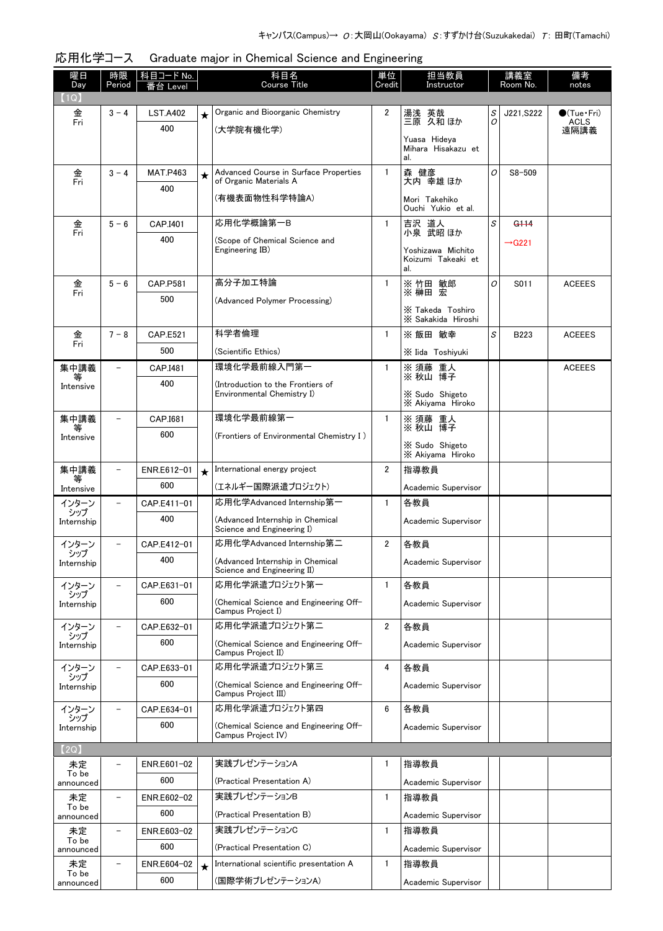| 曜日<br>Day                    | 時限<br>Period             | 科目コード No.<br>番台 Level |         | 科目名<br><b>Course Title</b>                                      | 単位<br>Credit   | 担当教員<br>Instructor                        |   | 講義室<br>Room No.    | 備考<br>notes         |
|------------------------------|--------------------------|-----------------------|---------|-----------------------------------------------------------------|----------------|-------------------------------------------|---|--------------------|---------------------|
| $\lceil 1 \mathsf{Q} \rceil$ |                          |                       |         |                                                                 |                |                                           |   |                    |                     |
| 金                            | $3 - 4$                  | <b>LST.A402</b>       | $\star$ | Organic and Bioorganic Chemistry                                | $\overline{2}$ | 湯浅 英哉                                     | S | J221,S222          | $\bullet$ (Tue•Fri) |
| Fri                          |                          | 400                   |         | (大学院有機化学)                                                       |                | 三原 久和 ほか                                  | 0 |                    | <b>ACLS</b><br>遠隔講義 |
|                              |                          |                       |         |                                                                 |                | Yuasa Hideya<br>Mihara Hisakazu et<br>al. |   |                    |                     |
| 金                            | $3 - 4$                  | <b>MAT.P463</b>       | $\star$ | Advanced Course in Surface Properties                           | $\mathbf{1}$   | 森 健彦                                      | O | $S8 - 509$         |                     |
| Fri                          |                          | 400                   |         | of Organic Materials A                                          |                | 大内 幸雄 ほか                                  |   |                    |                     |
|                              |                          |                       |         | (有機表面物性科学特論A)                                                   |                | Mori Takehiko<br>Ouchi Yukio et al.       |   |                    |                     |
| 金<br>Fri                     | $5 - 6$                  | CAP.I401              |         | 応用化学概論第一B                                                       | 1              | 吉沢 道人<br>小泉 武昭 ほか                         | S | G <sub>114</sub>   |                     |
|                              |                          | 400                   |         | (Scope of Chemical Science and<br>Engineering IB)               |                | Yoshizawa Michito                         |   | $\rightarrow$ G221 |                     |
|                              |                          |                       |         |                                                                 |                | Koizumi Takeaki et<br>al.                 |   |                    |                     |
| 金<br>Fri                     | $5 - 6$                  | <b>CAP.P581</b>       |         | 高分子加工特論                                                         | 1              | ※竹田 敏郎<br>※ 榊田 宏                          | 0 | S011               | <b>ACEEES</b>       |
|                              |                          | 500                   |         | (Advanced Polymer Processing)                                   |                |                                           |   |                    |                     |
|                              |                          |                       |         |                                                                 |                | X Takeda Toshiro<br>X Sakakida Hiroshi    |   |                    |                     |
| 金<br>Fri                     | $7 - 8$                  | <b>CAP.E521</b>       |         | 科学者倫理                                                           | $\mathbf{1}$   | ※ 飯田 敏幸                                   | S | B223               | <b>ACEEES</b>       |
|                              |                          | 500                   |         | (Scientific Ethics)                                             |                | X Iida Toshiyuki                          |   |                    |                     |
| 集中講義<br>等                    |                          | CAP.I481              |         | 環境化学最前線入門第一                                                     | 1              | ※ 須藤 重人<br>※ 秋山 博子                        |   |                    | <b>ACEEES</b>       |
| Intensive                    |                          | 400                   |         | (Introduction to the Frontiers of<br>Environmental Chemistry I) |                | X Sudo Shigeto                            |   |                    |                     |
|                              |                          |                       |         |                                                                 |                | X Akiyama Hiroko                          |   |                    |                     |
| 集中講義<br>等                    |                          | CAP.I681              |         | 環境化学最前線第一                                                       | $\mathbf{1}$   | ※ 須藤 重人<br>※ 秋山 博子                        |   |                    |                     |
| Intensive                    |                          | 600                   |         | (Frontiers of Environmental Chemistry I)                        |                | X Sudo Shigeto                            |   |                    |                     |
|                              |                          |                       |         |                                                                 |                | X Akiyama Hiroko                          |   |                    |                     |
| 集中講義<br>等                    | $\overline{\phantom{0}}$ | ENR.E612-01           | $\star$ | International energy project                                    | 2              | 指導教員                                      |   |                    |                     |
| Intensive                    |                          | 600                   |         | (エネルギー国際派遣プロジェクト)                                               |                | Academic Supervisor                       |   |                    |                     |
| インターン<br>シップ                 | $\overline{a}$           | CAP.E411-01           |         | 応用化学Advanced Internship第一                                       | $\mathbf{1}$   | 各教員                                       |   |                    |                     |
| Internship                   |                          | 400                   |         | (Advanced Internship in Chemical<br>Science and Engineering I)  |                | Academic Supervisor                       |   |                    |                     |
| インターン                        |                          | CAP.E412-01           |         | 応用化学Advanced Internship第二                                       | 2              | 各教員                                       |   |                    |                     |
| シップ<br>Internship            |                          | 400                   |         | (Advanced Internship in Chemical                                |                | Academic Supervisor                       |   |                    |                     |
| インターン                        |                          | CAP.E631-01           |         | Science and Engineering II)<br>応用化学派遣プロジェクト第一                   | 1              | 各教員                                       |   |                    |                     |
| シップ<br>Internship            |                          | 600                   |         | (Chemical Science and Engineering Off-                          |                | Academic Supervisor                       |   |                    |                     |
|                              |                          |                       |         | Campus Project I)                                               |                |                                           |   |                    |                     |
| インターン<br>シップ                 |                          | CAP.E632-01           |         | 応用化学派遣プロジェクト第二                                                  | $\overline{2}$ | 各教員                                       |   |                    |                     |
| Internship                   |                          | 600                   |         | (Chemical Science and Engineering Off-<br>Campus Project II)    |                | Academic Supervisor                       |   |                    |                     |
| インターン                        |                          | CAP.E633-01           |         | 応用化学派遣プロジェクト第三                                                  | 4              | 各教員                                       |   |                    |                     |
| シップ<br>Internship            |                          | 600                   |         | (Chemical Science and Engineering Off-<br>Campus Project III)   |                | Academic Supervisor                       |   |                    |                     |
| インターン                        | $\overline{\phantom{0}}$ | CAP.E634-01           |         | 応用化学派遣プロジェクト第四                                                  | 6              | 各教員                                       |   |                    |                     |
| シップ<br>Internship            |                          | 600                   |         | (Chemical Science and Engineering Off-                          |                | Academic Supervisor                       |   |                    |                     |
| (2Q)                         |                          |                       |         | Campus Project IV)                                              |                |                                           |   |                    |                     |
| 未定                           |                          | ENR.E601-02           |         | 実践プレゼンテーションA                                                    | 1              | 指導教員                                      |   |                    |                     |
| To be<br>announced           |                          | 600                   |         | (Practical Presentation A)                                      |                | Academic Supervisor                       |   |                    |                     |
| 未定                           |                          | ENR.E602-02           |         | 実践プレゼンテーションB                                                    | $\mathbf{1}$   | 指導教員                                      |   |                    |                     |
| To be<br>announced           |                          | 600                   |         | (Practical Presentation B)                                      |                | Academic Supervisor                       |   |                    |                     |
| 未定                           |                          | ENR.E603-02           |         | 実践プレゼンテーションC                                                    | 1              | 指導教員                                      |   |                    |                     |
| To be<br>announced           |                          | 600                   |         | (Practical Presentation C)                                      |                | Academic Supervisor                       |   |                    |                     |
| 未定                           |                          | ENR.E604-02           | $\star$ | International scientific presentation A                         | $\mathbf{1}$   | 指導教員                                      |   |                    |                     |
| To be<br>announced           |                          | 600                   |         | (国際学術プレゼンテーションA)                                                |                | Academic Supervisor                       |   |                    |                     |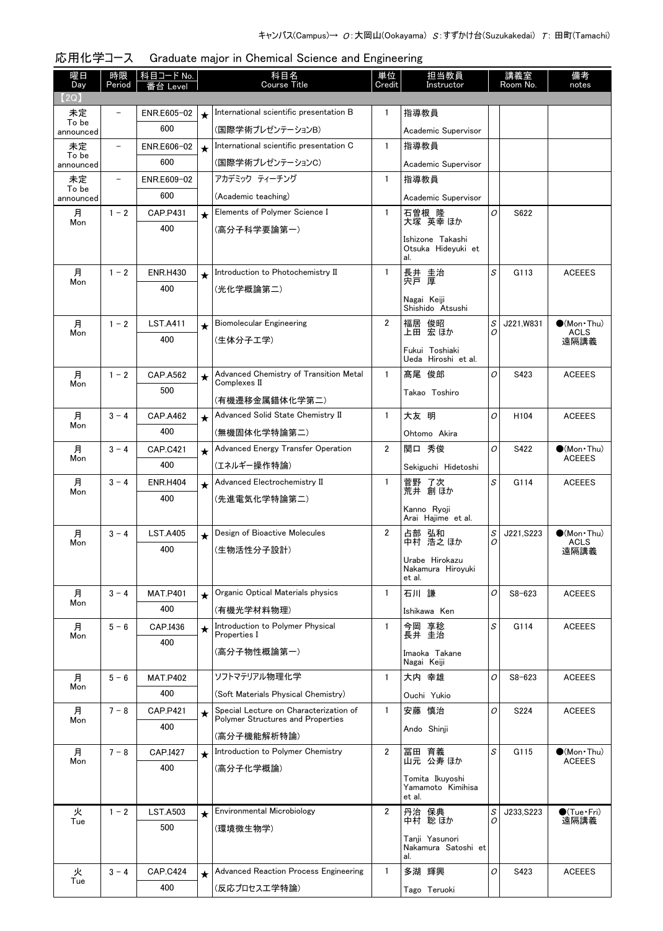| 曜日<br>Day          | 時限<br>Period | 科目コード No.              |         | 科目名<br>Course Title                                    | 単位<br>Credit   | 担当教員<br>Instructor                    |        | 講義室<br>Room No.  | 備考<br>notes                          |
|--------------------|--------------|------------------------|---------|--------------------------------------------------------|----------------|---------------------------------------|--------|------------------|--------------------------------------|
| (2Q)               |              | 台 Level                |         |                                                        |                |                                       |        |                  |                                      |
| 未定                 |              | ENR.E605-02            | $\star$ | International scientific presentation B                | 1              | 指導教員                                  |        |                  |                                      |
| To be<br>announced |              | 600                    |         | (国際学術プレゼンテーションB)                                       |                | Academic Supervisor                   |        |                  |                                      |
| 未定<br>To be        |              | ENR.E606-02            |         | International scientific presentation C                | $\mathbf{1}$   | 指導教員                                  |        |                  |                                      |
| announced          |              | 600                    |         | (国際学術プレゼンテーションC)                                       |                | Academic Supervisor                   |        |                  |                                      |
| 未定                 |              | ENR.E609-02            |         | アカデミック ティーチング                                          | $\mathbf{1}$   | 指導教員                                  |        |                  |                                      |
| To be<br>announced |              | 600                    |         | (Academic teaching)                                    |                | Academic Supervisor                   |        |                  |                                      |
| 月                  | $1 - 2$      | CAP.P431               | $\star$ | Elements of Polymer Science I                          | $\mathbf{1}$   | 石曽根 隆<br>大塚 英幸 ほか                     | 0      | S622             |                                      |
| Mon                |              | 400                    |         | (高分子科学要論第一)                                            |                | Ishizone Takashi                      |        |                  |                                      |
|                    |              |                        |         |                                                        |                | Otsuka Hideyuki et                    |        |                  |                                      |
| 月                  | $1 - 2$      | <b>ENR.H430</b>        |         | Introduction to Photochemistry II                      | 1              | al.                                   | S      | G113             | <b>ACEEES</b>                        |
| Mon                |              | 400                    | $\star$ | (光化学概論第二)                                              |                | 長井 圭治<br>宍戸 厚                         |        |                  |                                      |
|                    |              |                        |         |                                                        |                | Nagai Keiji                           |        |                  |                                      |
|                    |              |                        |         |                                                        |                | Shishido Atsushi                      |        |                  |                                      |
| 月<br>Mon           | $1 - 2$      | <b>LST.A411</b><br>400 | $\star$ | Biomolecular Engineering                               | $\overline{2}$ | 福居 俊昭<br>上田 宏 ほか                      | S<br>0 | J221,W831        | $\bullet$ (Mon•Thu)<br><b>ACLS</b>   |
|                    |              |                        |         | (生体分子工学)                                               |                | Fukui Toshiaki                        |        |                  | 遠隔講義                                 |
|                    |              |                        |         |                                                        |                | Ueda Hiroshi et al.                   |        |                  |                                      |
| 月<br>Mon           | $1 - 2$      | <b>CAP.A562</b><br>500 | $\star$ | Advanced Chemistry of Transition Metal<br>Complexes II | $\mathbf{1}$   | 髙尾 俊郎                                 | O      | S423             | <b>ACEEES</b>                        |
|                    |              |                        |         | (有機遷移金属錯体化学第二)                                         |                | Takao Toshiro                         |        |                  |                                      |
| 月                  | $3 - 4$      | <b>CAP.A462</b>        | $\star$ | Advanced Solid State Chemistry II                      | $\mathbf{1}$   | 大友 明                                  | 0      | H <sub>104</sub> | <b>ACEEES</b>                        |
| Mon                |              | 400                    |         | (無機固体化学特論第二)                                           |                | Ohtomo Akira                          |        |                  |                                      |
| 月                  | $3 - 4$      | <b>CAP.C421</b>        | $\star$ | Advanced Energy Transfer Operation                     | $\overline{2}$ | 関口 秀俊                                 | 0      | S422             | $\bullet$ (Mon Thu)                  |
| Mon                |              | 400                    |         | (エネルギー操作特論)                                            |                | Sekiguchi Hidetoshi                   |        |                  | <b>ACEEES</b>                        |
| 月<br>Mon           | $3 - 4$      | <b>ENR.H404</b>        | $\star$ | Advanced Electrochemistry II                           | $\mathbf{1}$   | 菅野 了次<br>荒井 創ほか                       | S      | G114             | <b>ACEEES</b>                        |
|                    |              | 400                    |         | (先進電気化学特論第二)                                           |                |                                       |        |                  |                                      |
|                    |              |                        |         |                                                        |                | Kanno Ryoji<br>Arai Haiime et al.     |        |                  |                                      |
| 月<br>Mon           | $3 - 4$      | <b>LST.A405</b>        | $\star$ | Design of Bioactive Molecules                          | 2              | 占部 弘和<br>中村 浩之 ほか                     | S<br>0 | J221.S223        | $\bullet$ (Mon•Thu)<br>ACLS          |
|                    |              | 400                    |         | (生物活性分子設計)                                             |                |                                       |        |                  | 遠隔講義                                 |
|                    |              |                        |         |                                                        |                | Urabe Hirokazu<br>Nakamura Hirovuki   |        |                  |                                      |
| 月                  | $3 - 4$      | <b>MAT.P401</b>        |         | Organic Optical Materials physics                      | 1              | et al.<br>石川 謙                        | O      | $S8 - 623$       | <b>ACEEES</b>                        |
| Mon                |              | 400                    | $\star$ | (有機光学材料物理)                                             |                | Ishikawa Ken                          |        |                  |                                      |
| 月                  | $5 - 6$      | CAP.I436               |         | Introduction to Polymer Physical                       | $\mathbf{1}$   | 今岡 享稔                                 | S      | G114             | <b>ACEEES</b>                        |
| Mon                |              | 400                    | $\star$ | Properties I                                           |                | 長井 圭治                                 |        |                  |                                      |
|                    |              |                        |         | (高分子物性概論第一)                                            |                | Imaoka Takane                         |        |                  |                                      |
| 月                  | $5 - 6$      | <b>MAT.P402</b>        |         | ソフトマテリアル物理化学                                           | $\mathbf{1}$   | Nagai Keiji<br>大内 幸雄                  | O      | $S8 - 623$       | <b>ACEEES</b>                        |
| Mon                |              | 400                    |         | (Soft Materials Physical Chemistry)                    |                | Ouchi Yukio                           |        |                  |                                      |
| 月                  | $7 - 8$      | <b>CAP.P421</b>        |         | Special Lecture on Characterization of                 | $\mathbf{1}$   | 安藤 慎治                                 | O      | S224             | <b>ACEEES</b>                        |
| Mon                |              | 400                    | $\star$ | Polymer Structures and Properties                      |                | Ando Shinji                           |        |                  |                                      |
|                    |              |                        |         | (高分子機能解析特論)                                            |                |                                       |        |                  |                                      |
| 月<br>Mon           | $7 - 8$      | CAP.I427               | $\star$ | Introduction to Polymer Chemistry                      | $\overline{2}$ | 冨田 育義<br>山元 公寿 ほか                     | S      | G115             | $\bullet$ (Mon•Thu)<br><b>ACEEES</b> |
|                    |              | 400                    |         | (高分子化学概論)                                              |                | Tomita Ikuyoshi                       |        |                  |                                      |
|                    |              |                        |         |                                                        |                | Yamamoto Kimihisa<br>et al.           |        |                  |                                      |
| 火                  | $1 - 2$      | <b>LST.A503</b>        | $\star$ | Environmental Microbiology                             | $\overline{2}$ | 丹治 保典                                 | S      | J233, S223       | $\bigcirc$ (Tue·Fri)                 |
| Tue                |              | 500                    |         | (環境微生物学)                                               |                | 中村 聡ほか                                | 0      |                  | 遠隔講義                                 |
|                    |              |                        |         |                                                        |                | Tanji Yasunori<br>Nakamura Satoshi et |        |                  |                                      |
|                    |              |                        |         |                                                        |                | al.                                   |        |                  |                                      |
| 火<br>Tue           | $3 - 4$      | <b>CAP.C424</b>        | $\star$ | <b>Advanced Reaction Process Engineering</b>           | $\mathbf{1}$   | 多湖 輝興                                 | O      | S423             | <b>ACEEES</b>                        |
|                    |              | 400                    |         | (反応プロセス工学特論)                                           |                | Tago Teruoki                          |        |                  |                                      |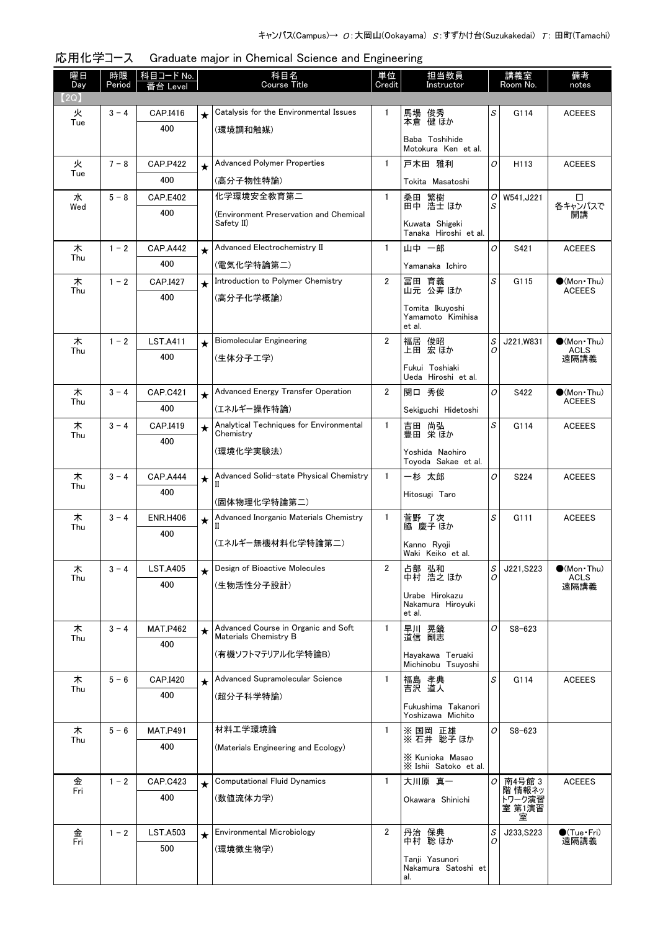| 曜日<br>Day | 時限<br>Period | 科目コード No.<br>番台 Level  |         | 科目名<br>Course Title                                          | 単位<br>Credit   | 担当教員<br>Instructor                             |        | 講義室<br>Room No.  | 備考<br>notes                    |
|-----------|--------------|------------------------|---------|--------------------------------------------------------------|----------------|------------------------------------------------|--------|------------------|--------------------------------|
| (2Q)      |              |                        |         |                                                              |                |                                                |        |                  |                                |
| 火         | $3 - 4$      | CAP.I416               | $\star$ | Catalysis for the Environmental Issues                       | 1              | 馬場 俊秀                                          | S      | G114             | <b>ACEEES</b>                  |
| Tue       |              | 400                    |         | (環境調和触媒)                                                     |                | 本倉 健 ほか                                        |        |                  |                                |
|           |              |                        |         |                                                              |                | Baba Toshihide<br>Motokura Ken et al.          |        |                  |                                |
| 火         | $7 - 8$      | <b>CAP.P422</b>        | $\star$ | <b>Advanced Polymer Properties</b>                           | $\mathbf{1}$   | 戸木田 雅利                                         | 0      | H113             | <b>ACEEES</b>                  |
| Tue       |              | 400                    |         | (高分子物性特論)                                                    |                | Tokita Masatoshi                               |        |                  |                                |
| 水         | $5 - 8$      | <b>CAP.E402</b>        |         | 化学環境安全教育第二                                                   | 1              | 桑田 繁樹<br>田中 浩士 ほか                              | 0      | W541, J221       | □                              |
| Wed       |              | 400                    |         | (Environment Preservation and Chemical                       |                |                                                | S      |                  | 各キャンパスで<br>開講                  |
|           |              |                        |         | Safety II)                                                   |                | Kuwata Shigeki<br>Tanaka Hiroshi et al.        |        |                  |                                |
| 木         | $1 - 2$      | <b>CAP.A442</b>        | $\star$ | Advanced Electrochemistry II                                 | $\mathbf{1}$   | 山中 一郎                                          | 0      | S421             | <b>ACEEES</b>                  |
| Thu       |              | 400                    |         | (電気化学特論第二)                                                   |                | Yamanaka Ichiro                                |        |                  |                                |
| 木         | $1 - 2$      | CAP.I427               | $\star$ | Introduction to Polymer Chemistry                            | $\overline{2}$ | 冨田 育義                                          | S      | G115             | $\bullet$ (Mon · Thu)          |
| Thu       |              | 400                    |         | (高分子化学概論)                                                    |                | 山元 公寿 ほか                                       |        |                  | <b>ACEEES</b>                  |
|           |              |                        |         |                                                              |                | Tomita Ikuyoshi<br>Yamamoto Kimihisa<br>et al. |        |                  |                                |
| 木         | $1 - 2$      | <b>LST.A411</b>        | $\star$ | <b>Biomolecular Engineering</b>                              | $\overline{2}$ | 福居 俊昭                                          | S      | J221, W831       | $\bigcirc$ (Mon Thu)           |
| Thu       |              | 400                    |         | (生体分子工学)                                                     |                | 上田 宏ほか                                         | Ο      |                  | <b>ACLS</b><br>遠隔講義            |
|           |              |                        |         |                                                              |                | Fukui Toshiaki<br>Ueda Hiroshi et al.          |        |                  |                                |
| 木         | $3 - 4$      | <b>CAP.C421</b>        | $\star$ | Advanced Energy Transfer Operation                           | 2              | 関口 秀俊                                          | 0      | S422             | $\bullet$ (Mon Thu)            |
| Thu       |              | 400                    |         | (エネルギー操作特論)                                                  |                | Sekiguchi Hidetoshi                            |        |                  | <b>ACEEES</b>                  |
| 木         | $3 - 4$      | CAP.I419               | $\star$ | Analytical Techniques for Environmental<br>Chemistry         | 1              | 吉田 尚弘<br>豊田 栄ほか                                | S      | G114             | <b>ACEEES</b>                  |
| Thu       |              | 400                    |         |                                                              |                |                                                |        |                  |                                |
|           |              |                        |         | (環境化学実験法)                                                    |                | Yoshida Naohiro<br>Toyoda Sakae et al.         |        |                  |                                |
| 木         | $3 - 4$      | <b>CAP.A444</b>        | $\star$ | Advanced Solid-state Physical Chemistry                      | $\mathbf{1}$   | 一杉 太郎                                          | 0      | S224             | <b>ACEEES</b>                  |
| Thu       |              | 400                    |         |                                                              |                | Hitosugi Taro                                  |        |                  |                                |
|           |              |                        |         | (固体物理化学特論第二)<br>Advanced Inorganic Materials Chemistry       | $\mathbf{1}$   |                                                | S      |                  |                                |
| 木<br>Thu  | $3 - 4$      | <b>ENR.H406</b><br>400 | $\star$ | Н                                                            |                | 菅野 了次<br>脇 慶子 ほか                               |        | G111             | <b>ACEEES</b>                  |
|           |              |                        |         | (エネルギー無機材料化学特論第二)                                            |                | Kanno Ryoji<br>Waki Keiko et al.               |        |                  |                                |
| 木<br>Thu  | $3 - 4$      | <b>LST.A405</b>        | $\star$ | Design of Bioactive Molecules                                | 2              | 占部 弘和<br>中村 浩之ほか                               | S<br>Ο | J221, S223       | $\bullet$ (Mon Thu)<br>ACLS    |
|           |              | 400                    |         | (生物活性分子設計)                                                   |                | Urabe Hirokazu                                 |        |                  | 遠隔講義                           |
|           |              |                        |         |                                                              |                | Nakamura Hiroyuki<br>et al.                    |        |                  |                                |
| 木<br>Thu  | $3 - 4$      | <b>MAT.P462</b>        | $\star$ | Advanced Course in Organic and Soft<br>Materials Chemistry B | $\mathbf{1}$   | 早川 晃鏡<br>道信 剛志                                 | 0      | $S8 - 623$       |                                |
|           |              | 400                    |         | (有機ソフトマテリアル化学特論B)                                            |                |                                                |        |                  |                                |
|           |              |                        |         |                                                              |                | Hayakawa Teruaki<br>Michinobu Tsuvoshi         |        |                  |                                |
| 木<br>Thu  | $5 - 6$      | CAP.I420               | $\star$ | Advanced Supramolecular Science                              | $\mathbf{1}$   | 福島 孝典<br>吉沢 道人                                 | S      | G114             | <b>ACEEES</b>                  |
|           |              | 400                    |         | (超分子科学特論)                                                    |                | Fukushima Takanori                             |        |                  |                                |
|           |              |                        |         |                                                              |                | Yoshizawa Michito                              |        |                  |                                |
| 木<br>Thu  | $5 - 6$      | <b>MAT.P491</b>        |         | 材料工学環境論                                                      | $\mathbf{1}$   | ※ 国岡 正雄<br>※ 石井 聡子 ほか                          | 0      | $S8 - 623$       |                                |
|           |              | 400                    |         | (Materials Engineering and Ecology)                          |                |                                                |        |                  |                                |
|           |              |                        |         |                                                              |                | X Kunioka Masao<br>X Ishii Satoko et al.       |        |                  |                                |
| 金<br>Fri  | $1 - 2$      | <b>CAP.C423</b>        | $\star$ | <b>Computational Fluid Dynamics</b>                          | $\mathbf{1}$   | 大川原 真一                                         | 0      | 南4号館 3<br>階 情報ネッ | <b>ACEEES</b>                  |
|           |              | 400                    |         | (数値流体力学)                                                     |                | Okawara Shinichi                               |        | トワーク演習<br>室 第1演習 |                                |
|           |              |                        |         |                                                              |                |                                                |        | 室                |                                |
| 金<br>Fri  | $1 - 2$      | <b>LST.A503</b>        | $\star$ | Environmental Microbiology                                   | 2              | 丹治 保典<br>中村 聡 ほか                               | S<br>O | J233, S223       | $\bigcirc$ (Tue · Fri)<br>遠隔講義 |
|           |              | 500                    |         | (環境微生物学)                                                     |                |                                                |        |                  |                                |
|           |              |                        |         |                                                              |                | Tanji Yasunori<br>Nakamura Satoshi et          |        |                  |                                |
|           |              |                        |         |                                                              |                | al.                                            |        |                  |                                |